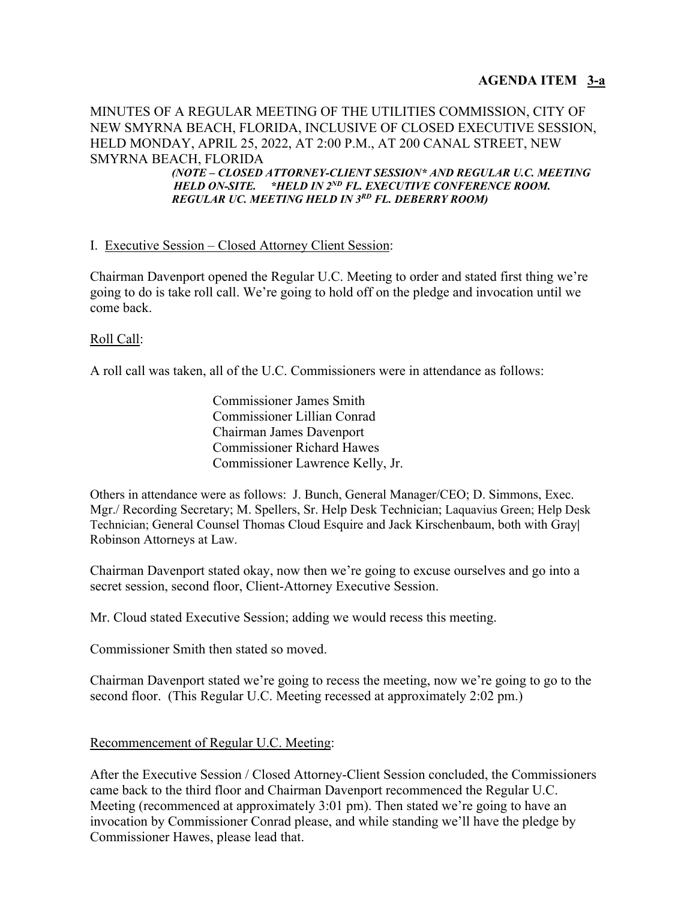MINUTES OF A REGULAR MEETING OF THE UTILITIES COMMISSION, CITY OF NEW SMYRNA BEACH, FLORIDA, INCLUSIVE OF CLOSED EXECUTIVE SESSION, HELD MONDAY, APRIL 25, 2022, AT 2:00 P.M., AT 200 CANAL STREET, NEW SMYRNA BEACH, FLORIDA

 *(NOTE – CLOSED ATTORNEY-CLIENT SESSION\* AND REGULAR U.C. MEETING HELD ON-SITE. \*HELD IN 2ND FL. EXECUTIVE CONFERENCE ROOM. REGULAR UC. MEETING HELD IN 3RD FL. DEBERRY ROOM)*

# I. Executive Session – Closed Attorney Client Session:

Chairman Davenport opened the Regular U.C. Meeting to order and stated first thing we're going to do is take roll call. We're going to hold off on the pledge and invocation until we come back.

# Roll Call:

A roll call was taken, all of the U.C. Commissioners were in attendance as follows:

Commissioner James Smith Commissioner Lillian Conrad Chairman James Davenport Commissioner Richard Hawes Commissioner Lawrence Kelly, Jr.

Others in attendance were as follows: J. Bunch, General Manager/CEO; D. Simmons, Exec. Mgr./ Recording Secretary; M. Spellers, Sr. Help Desk Technician; Laquavius Green; Help Desk Technician; General Counsel Thomas Cloud Esquire and Jack Kirschenbaum, both with Gray**|**  Robinson Attorneys at Law.

Chairman Davenport stated okay, now then we're going to excuse ourselves and go into a secret session, second floor, Client-Attorney Executive Session.

Mr. Cloud stated Executive Session; adding we would recess this meeting.

Commissioner Smith then stated so moved.

Chairman Davenport stated we're going to recess the meeting, now we're going to go to the second floor. (This Regular U.C. Meeting recessed at approximately 2:02 pm.)

# Recommencement of Regular U.C. Meeting:

After the Executive Session / Closed Attorney-Client Session concluded, the Commissioners came back to the third floor and Chairman Davenport recommenced the Regular U.C. Meeting (recommenced at approximately 3:01 pm). Then stated we're going to have an invocation by Commissioner Conrad please, and while standing we'll have the pledge by Commissioner Hawes, please lead that.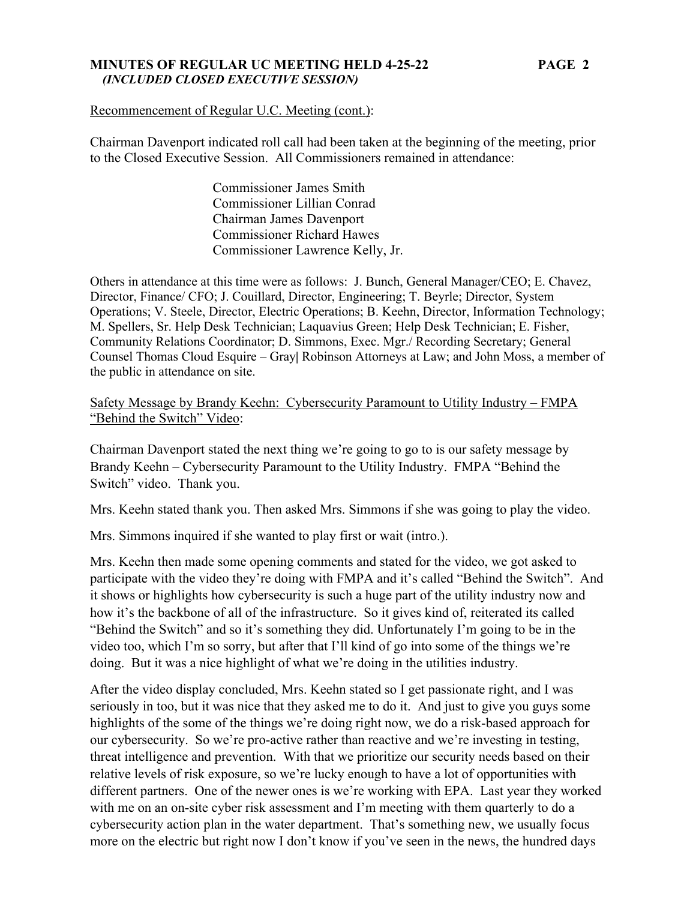### **MINUTES OF REGULAR UC MEETING HELD 4-25-22 PAGE 2**   *(INCLUDED CLOSED EXECUTIVE SESSION)*

Recommencement of Regular U.C. Meeting (cont.):

Chairman Davenport indicated roll call had been taken at the beginning of the meeting, prior to the Closed Executive Session. All Commissioners remained in attendance:

> Commissioner James Smith Commissioner Lillian Conrad Chairman James Davenport Commissioner Richard Hawes Commissioner Lawrence Kelly, Jr.

Others in attendance at this time were as follows: J. Bunch, General Manager/CEO; E. Chavez, Director, Finance/ CFO; J. Couillard, Director, Engineering; T. Beyrle; Director, System Operations; V. Steele, Director, Electric Operations; B. Keehn, Director, Information Technology; M. Spellers, Sr. Help Desk Technician; Laquavius Green; Help Desk Technician; E. Fisher, Community Relations Coordinator; D. Simmons, Exec. Mgr./ Recording Secretary; General Counsel Thomas Cloud Esquire – Gray**|** Robinson Attorneys at Law; and John Moss, a member of the public in attendance on site.

Safety Message by Brandy Keehn: Cybersecurity Paramount to Utility Industry – FMPA "Behind the Switch" Video:

Chairman Davenport stated the next thing we're going to go to is our safety message by Brandy Keehn – Cybersecurity Paramount to the Utility Industry. FMPA "Behind the Switch" video. Thank you.

Mrs. Keehn stated thank you. Then asked Mrs. Simmons if she was going to play the video.

Mrs. Simmons inquired if she wanted to play first or wait (intro.).

Mrs. Keehn then made some opening comments and stated for the video, we got asked to participate with the video they're doing with FMPA and it's called "Behind the Switch". And it shows or highlights how cybersecurity is such a huge part of the utility industry now and how it's the backbone of all of the infrastructure. So it gives kind of, reiterated its called "Behind the Switch" and so it's something they did. Unfortunately I'm going to be in the video too, which I'm so sorry, but after that I'll kind of go into some of the things we're doing. But it was a nice highlight of what we're doing in the utilities industry.

After the video display concluded, Mrs. Keehn stated so I get passionate right, and I was seriously in too, but it was nice that they asked me to do it. And just to give you guys some highlights of the some of the things we're doing right now, we do a risk-based approach for our cybersecurity. So we're pro-active rather than reactive and we're investing in testing, threat intelligence and prevention. With that we prioritize our security needs based on their relative levels of risk exposure, so we're lucky enough to have a lot of opportunities with different partners. One of the newer ones is we're working with EPA. Last year they worked with me on an on-site cyber risk assessment and I'm meeting with them quarterly to do a cybersecurity action plan in the water department. That's something new, we usually focus more on the electric but right now I don't know if you've seen in the news, the hundred days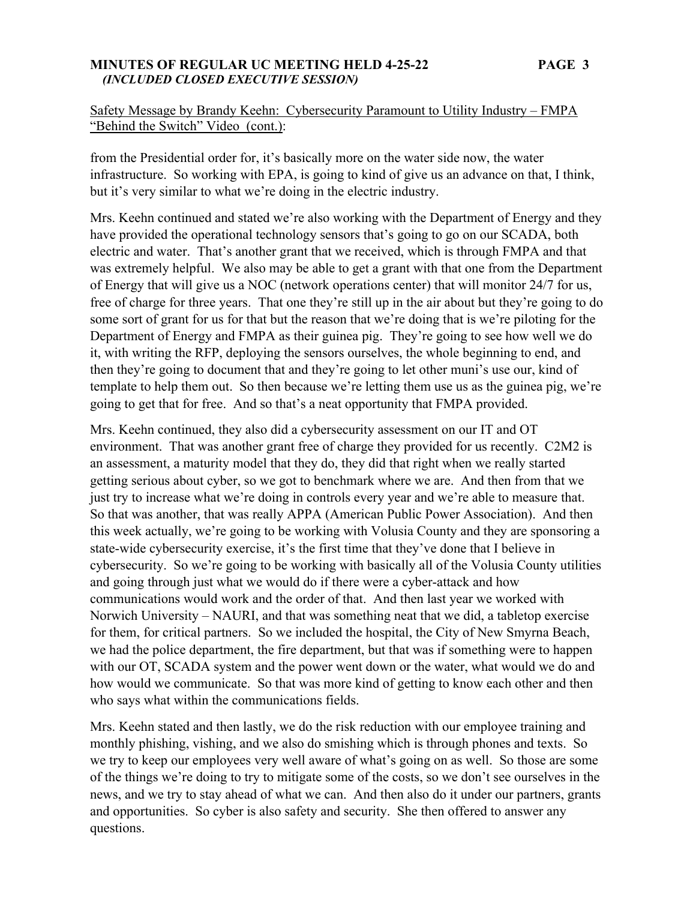### **MINUTES OF REGULAR UC MEETING HELD 4-25-22 PAGE 3**   *(INCLUDED CLOSED EXECUTIVE SESSION)*

# Safety Message by Brandy Keehn: Cybersecurity Paramount to Utility Industry – FMPA "Behind the Switch" Video (cont.):

from the Presidential order for, it's basically more on the water side now, the water infrastructure. So working with EPA, is going to kind of give us an advance on that, I think, but it's very similar to what we're doing in the electric industry.

Mrs. Keehn continued and stated we're also working with the Department of Energy and they have provided the operational technology sensors that's going to go on our SCADA, both electric and water. That's another grant that we received, which is through FMPA and that was extremely helpful. We also may be able to get a grant with that one from the Department of Energy that will give us a NOC (network operations center) that will monitor 24/7 for us, free of charge for three years. That one they're still up in the air about but they're going to do some sort of grant for us for that but the reason that we're doing that is we're piloting for the Department of Energy and FMPA as their guinea pig. They're going to see how well we do it, with writing the RFP, deploying the sensors ourselves, the whole beginning to end, and then they're going to document that and they're going to let other muni's use our, kind of template to help them out. So then because we're letting them use us as the guinea pig, we're going to get that for free. And so that's a neat opportunity that FMPA provided.

Mrs. Keehn continued, they also did a cybersecurity assessment on our IT and OT environment. That was another grant free of charge they provided for us recently. C2M2 is an assessment, a maturity model that they do, they did that right when we really started getting serious about cyber, so we got to benchmark where we are. And then from that we just try to increase what we're doing in controls every year and we're able to measure that. So that was another, that was really APPA (American Public Power Association). And then this week actually, we're going to be working with Volusia County and they are sponsoring a state-wide cybersecurity exercise, it's the first time that they've done that I believe in cybersecurity. So we're going to be working with basically all of the Volusia County utilities and going through just what we would do if there were a cyber-attack and how communications would work and the order of that. And then last year we worked with Norwich University – NAURI, and that was something neat that we did, a tabletop exercise for them, for critical partners. So we included the hospital, the City of New Smyrna Beach, we had the police department, the fire department, but that was if something were to happen with our OT, SCADA system and the power went down or the water, what would we do and how would we communicate. So that was more kind of getting to know each other and then who says what within the communications fields.

Mrs. Keehn stated and then lastly, we do the risk reduction with our employee training and monthly phishing, vishing, and we also do smishing which is through phones and texts. So we try to keep our employees very well aware of what's going on as well. So those are some of the things we're doing to try to mitigate some of the costs, so we don't see ourselves in the news, and we try to stay ahead of what we can. And then also do it under our partners, grants and opportunities. So cyber is also safety and security. She then offered to answer any questions.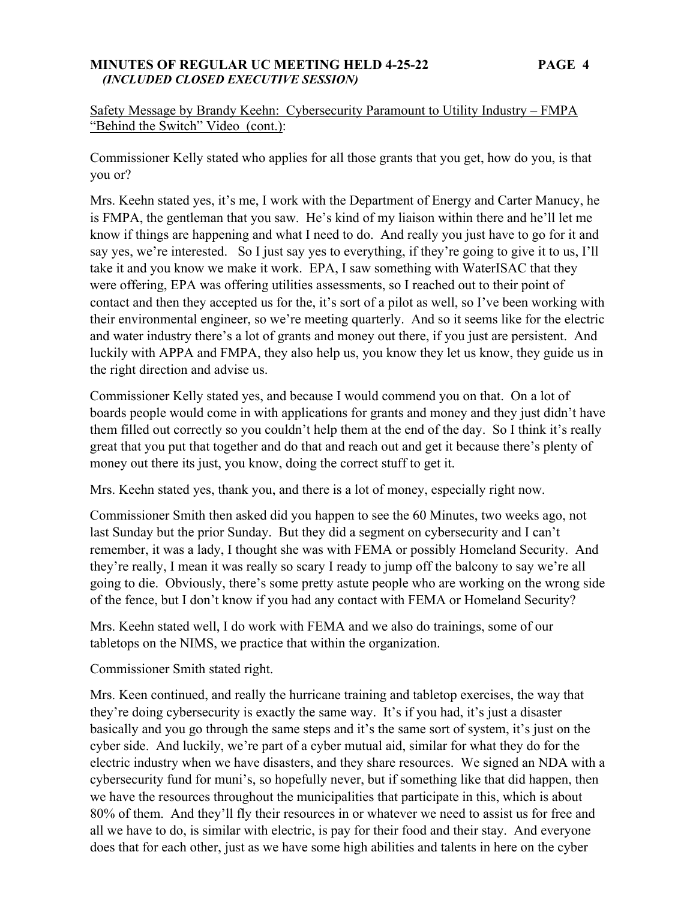### **MINUTES OF REGULAR UC MEETING HELD 4-25-22 PAGE 4**   *(INCLUDED CLOSED EXECUTIVE SESSION)*

# Safety Message by Brandy Keehn: Cybersecurity Paramount to Utility Industry – FMPA "Behind the Switch" Video (cont.):

Commissioner Kelly stated who applies for all those grants that you get, how do you, is that you or?

Mrs. Keehn stated yes, it's me, I work with the Department of Energy and Carter Manucy, he is FMPA, the gentleman that you saw. He's kind of my liaison within there and he'll let me know if things are happening and what I need to do. And really you just have to go for it and say yes, we're interested. So I just say yes to everything, if they're going to give it to us, I'll take it and you know we make it work. EPA, I saw something with WaterISAC that they were offering, EPA was offering utilities assessments, so I reached out to their point of contact and then they accepted us for the, it's sort of a pilot as well, so I've been working with their environmental engineer, so we're meeting quarterly. And so it seems like for the electric and water industry there's a lot of grants and money out there, if you just are persistent. And luckily with APPA and FMPA, they also help us, you know they let us know, they guide us in the right direction and advise us.

Commissioner Kelly stated yes, and because I would commend you on that. On a lot of boards people would come in with applications for grants and money and they just didn't have them filled out correctly so you couldn't help them at the end of the day. So I think it's really great that you put that together and do that and reach out and get it because there's plenty of money out there its just, you know, doing the correct stuff to get it.

Mrs. Keehn stated yes, thank you, and there is a lot of money, especially right now.

Commissioner Smith then asked did you happen to see the 60 Minutes, two weeks ago, not last Sunday but the prior Sunday. But they did a segment on cybersecurity and I can't remember, it was a lady, I thought she was with FEMA or possibly Homeland Security. And they're really, I mean it was really so scary I ready to jump off the balcony to say we're all going to die. Obviously, there's some pretty astute people who are working on the wrong side of the fence, but I don't know if you had any contact with FEMA or Homeland Security?

Mrs. Keehn stated well, I do work with FEMA and we also do trainings, some of our tabletops on the NIMS, we practice that within the organization.

Commissioner Smith stated right.

Mrs. Keen continued, and really the hurricane training and tabletop exercises, the way that they're doing cybersecurity is exactly the same way. It's if you had, it's just a disaster basically and you go through the same steps and it's the same sort of system, it's just on the cyber side. And luckily, we're part of a cyber mutual aid, similar for what they do for the electric industry when we have disasters, and they share resources. We signed an NDA with a cybersecurity fund for muni's, so hopefully never, but if something like that did happen, then we have the resources throughout the municipalities that participate in this, which is about 80% of them. And they'll fly their resources in or whatever we need to assist us for free and all we have to do, is similar with electric, is pay for their food and their stay. And everyone does that for each other, just as we have some high abilities and talents in here on the cyber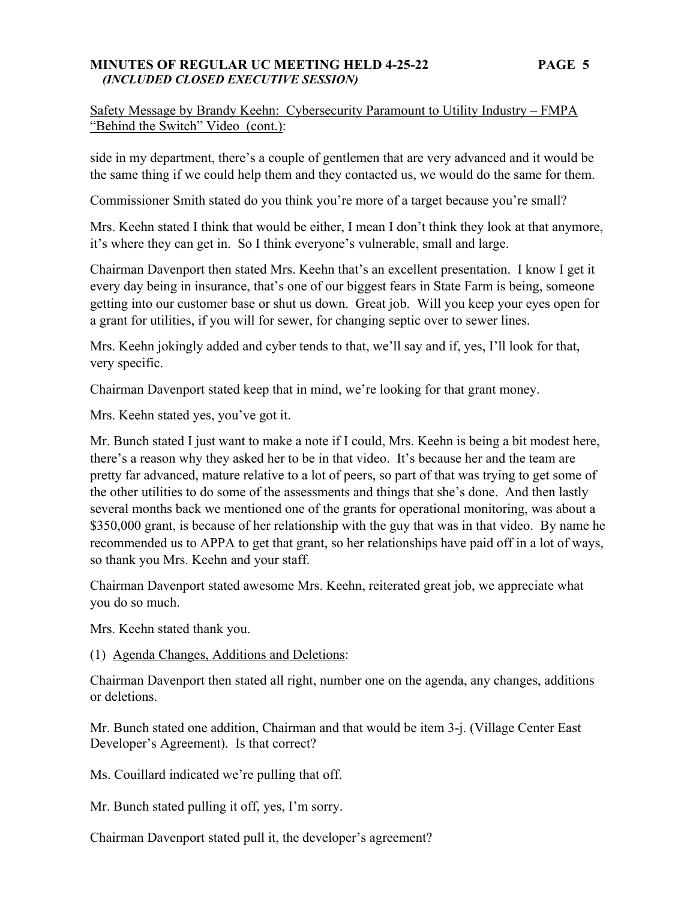### **MINUTES OF REGULAR UC MEETING HELD 4-25-22 PAGE 5**   *(INCLUDED CLOSED EXECUTIVE SESSION)*

Safety Message by Brandy Keehn: Cybersecurity Paramount to Utility Industry – FMPA "Behind the Switch" Video (cont.):

side in my department, there's a couple of gentlemen that are very advanced and it would be the same thing if we could help them and they contacted us, we would do the same for them.

Commissioner Smith stated do you think you're more of a target because you're small?

Mrs. Keehn stated I think that would be either, I mean I don't think they look at that anymore, it's where they can get in. So I think everyone's vulnerable, small and large.

Chairman Davenport then stated Mrs. Keehn that's an excellent presentation. I know I get it every day being in insurance, that's one of our biggest fears in State Farm is being, someone getting into our customer base or shut us down. Great job. Will you keep your eyes open for a grant for utilities, if you will for sewer, for changing septic over to sewer lines.

Mrs. Keehn jokingly added and cyber tends to that, we'll say and if, yes, I'll look for that, very specific.

Chairman Davenport stated keep that in mind, we're looking for that grant money.

Mrs. Keehn stated yes, you've got it.

Mr. Bunch stated I just want to make a note if I could, Mrs. Keehn is being a bit modest here, there's a reason why they asked her to be in that video. It's because her and the team are pretty far advanced, mature relative to a lot of peers, so part of that was trying to get some of the other utilities to do some of the assessments and things that she's done. And then lastly several months back we mentioned one of the grants for operational monitoring, was about a \$350,000 grant, is because of her relationship with the guy that was in that video. By name he recommended us to APPA to get that grant, so her relationships have paid off in a lot of ways, so thank you Mrs. Keehn and your staff.

Chairman Davenport stated awesome Mrs. Keehn, reiterated great job, we appreciate what you do so much.

Mrs. Keehn stated thank you.

(1) Agenda Changes, Additions and Deletions:

Chairman Davenport then stated all right, number one on the agenda, any changes, additions or deletions.

Mr. Bunch stated one addition, Chairman and that would be item 3-j. (Village Center East Developer's Agreement). Is that correct?

Ms. Couillard indicated we're pulling that off.

Mr. Bunch stated pulling it off, yes, I'm sorry.

Chairman Davenport stated pull it, the developer's agreement?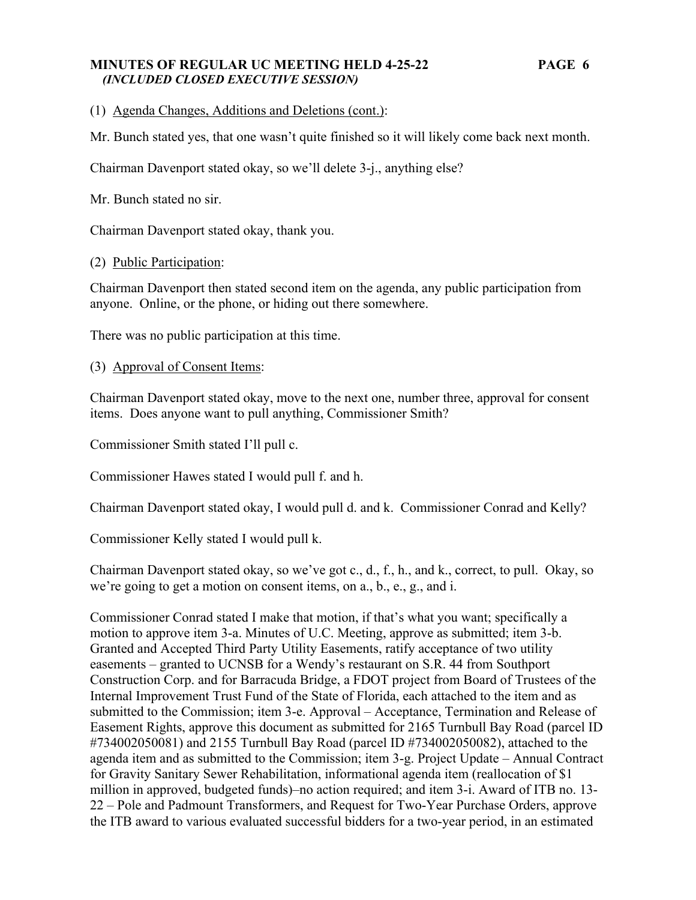### **MINUTES OF REGULAR UC MEETING HELD 4-25-22 PAGE 6**   *(INCLUDED CLOSED EXECUTIVE SESSION)*

# (1) Agenda Changes, Additions and Deletions (cont.):

Mr. Bunch stated yes, that one wasn't quite finished so it will likely come back next month.

Chairman Davenport stated okay, so we'll delete 3-j., anything else?

Mr. Bunch stated no sir.

Chairman Davenport stated okay, thank you.

### (2) Public Participation:

Chairman Davenport then stated second item on the agenda, any public participation from anyone. Online, or the phone, or hiding out there somewhere.

There was no public participation at this time.

(3) Approval of Consent Items:

Chairman Davenport stated okay, move to the next one, number three, approval for consent items. Does anyone want to pull anything, Commissioner Smith?

Commissioner Smith stated I'll pull c.

Commissioner Hawes stated I would pull f. and h.

Chairman Davenport stated okay, I would pull d. and k. Commissioner Conrad and Kelly?

Commissioner Kelly stated I would pull k.

Chairman Davenport stated okay, so we've got c., d., f., h., and k., correct, to pull. Okay, so we're going to get a motion on consent items, on a., b., e., g., and i.

Commissioner Conrad stated I make that motion, if that's what you want; specifically a motion to approve item 3-a. Minutes of U.C. Meeting, approve as submitted; item 3-b. Granted and Accepted Third Party Utility Easements, ratify acceptance of two utility easements – granted to UCNSB for a Wendy's restaurant on S.R. 44 from Southport Construction Corp. and for Barracuda Bridge, a FDOT project from Board of Trustees of the Internal Improvement Trust Fund of the State of Florida, each attached to the item and as submitted to the Commission; item 3-e. Approval – Acceptance, Termination and Release of Easement Rights, approve this document as submitted for 2165 Turnbull Bay Road (parcel ID #734002050081) and 2155 Turnbull Bay Road (parcel ID #734002050082), attached to the agenda item and as submitted to the Commission; item 3-g. Project Update – Annual Contract for Gravity Sanitary Sewer Rehabilitation, informational agenda item (reallocation of \$1 million in approved, budgeted funds)–no action required; and item 3-i. Award of ITB no. 13- 22 – Pole and Padmount Transformers, and Request for Two-Year Purchase Orders, approve the ITB award to various evaluated successful bidders for a two-year period, in an estimated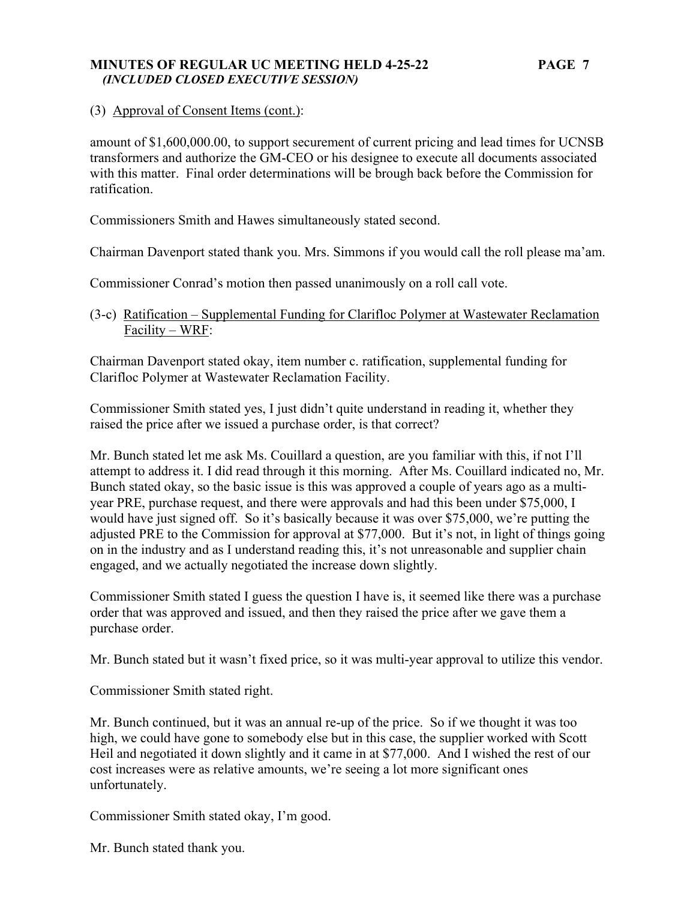### **MINUTES OF REGULAR UC MEETING HELD 4-25-22 PAGE 7**   *(INCLUDED CLOSED EXECUTIVE SESSION)*

# (3) Approval of Consent Items (cont.):

amount of \$1,600,000.00, to support securement of current pricing and lead times for UCNSB transformers and authorize the GM-CEO or his designee to execute all documents associated with this matter. Final order determinations will be brough back before the Commission for ratification.

Commissioners Smith and Hawes simultaneously stated second.

Chairman Davenport stated thank you. Mrs. Simmons if you would call the roll please ma'am.

Commissioner Conrad's motion then passed unanimously on a roll call vote.

(3-c) Ratification – Supplemental Funding for Clarifloc Polymer at Wastewater Reclamation Facility – WRF:

Chairman Davenport stated okay, item number c. ratification, supplemental funding for Clarifloc Polymer at Wastewater Reclamation Facility.

Commissioner Smith stated yes, I just didn't quite understand in reading it, whether they raised the price after we issued a purchase order, is that correct?

Mr. Bunch stated let me ask Ms. Couillard a question, are you familiar with this, if not I'll attempt to address it. I did read through it this morning. After Ms. Couillard indicated no, Mr. Bunch stated okay, so the basic issue is this was approved a couple of years ago as a multiyear PRE, purchase request, and there were approvals and had this been under \$75,000, I would have just signed off. So it's basically because it was over \$75,000, we're putting the adjusted PRE to the Commission for approval at \$77,000. But it's not, in light of things going on in the industry and as I understand reading this, it's not unreasonable and supplier chain engaged, and we actually negotiated the increase down slightly.

Commissioner Smith stated I guess the question I have is, it seemed like there was a purchase order that was approved and issued, and then they raised the price after we gave them a purchase order.

Mr. Bunch stated but it wasn't fixed price, so it was multi-year approval to utilize this vendor.

Commissioner Smith stated right.

Mr. Bunch continued, but it was an annual re-up of the price. So if we thought it was too high, we could have gone to somebody else but in this case, the supplier worked with Scott Heil and negotiated it down slightly and it came in at \$77,000. And I wished the rest of our cost increases were as relative amounts, we're seeing a lot more significant ones unfortunately.

Commissioner Smith stated okay, I'm good.

Mr. Bunch stated thank you.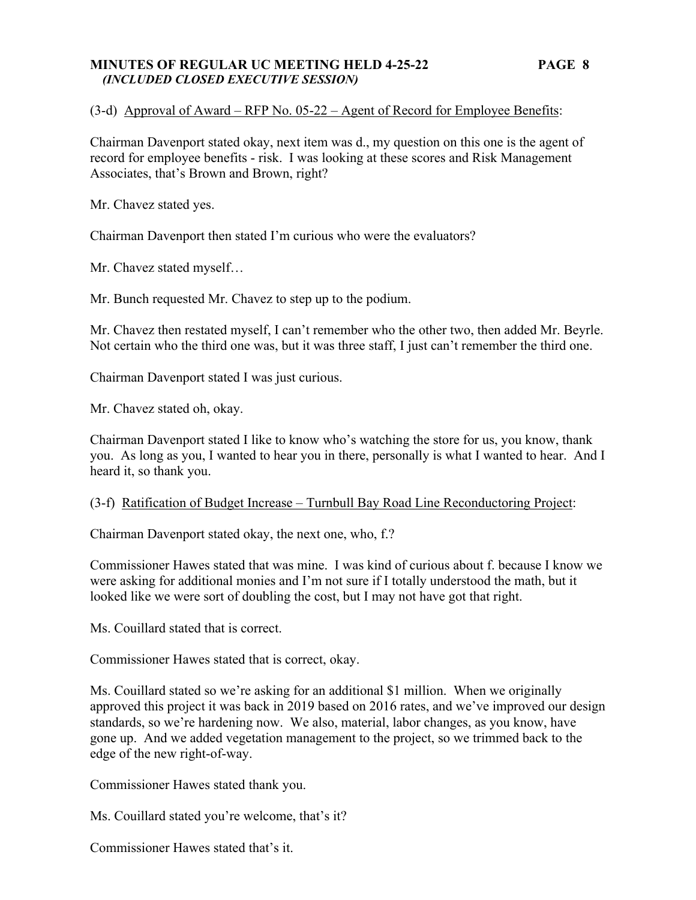### **MINUTES OF REGULAR UC MEETING HELD 4-25-22 PAGE 8**   *(INCLUDED CLOSED EXECUTIVE SESSION)*

### (3-d) Approval of Award – RFP No. 05-22 – Agent of Record for Employee Benefits:

Chairman Davenport stated okay, next item was d., my question on this one is the agent of record for employee benefits - risk. I was looking at these scores and Risk Management Associates, that's Brown and Brown, right?

Mr. Chavez stated yes.

Chairman Davenport then stated I'm curious who were the evaluators?

Mr. Chavez stated myself…

Mr. Bunch requested Mr. Chavez to step up to the podium.

Mr. Chavez then restated myself, I can't remember who the other two, then added Mr. Beyrle. Not certain who the third one was, but it was three staff, I just can't remember the third one.

Chairman Davenport stated I was just curious.

Mr. Chavez stated oh, okay.

Chairman Davenport stated I like to know who's watching the store for us, you know, thank you. As long as you, I wanted to hear you in there, personally is what I wanted to hear. And I heard it, so thank you.

#### (3-f) Ratification of Budget Increase – Turnbull Bay Road Line Reconductoring Project:

Chairman Davenport stated okay, the next one, who, f.?

Commissioner Hawes stated that was mine. I was kind of curious about f. because I know we were asking for additional monies and I'm not sure if I totally understood the math, but it looked like we were sort of doubling the cost, but I may not have got that right.

Ms. Couillard stated that is correct.

Commissioner Hawes stated that is correct, okay.

Ms. Couillard stated so we're asking for an additional \$1 million. When we originally approved this project it was back in 2019 based on 2016 rates, and we've improved our design standards, so we're hardening now. We also, material, labor changes, as you know, have gone up. And we added vegetation management to the project, so we trimmed back to the edge of the new right-of-way.

Commissioner Hawes stated thank you.

Ms. Couillard stated you're welcome, that's it?

Commissioner Hawes stated that's it.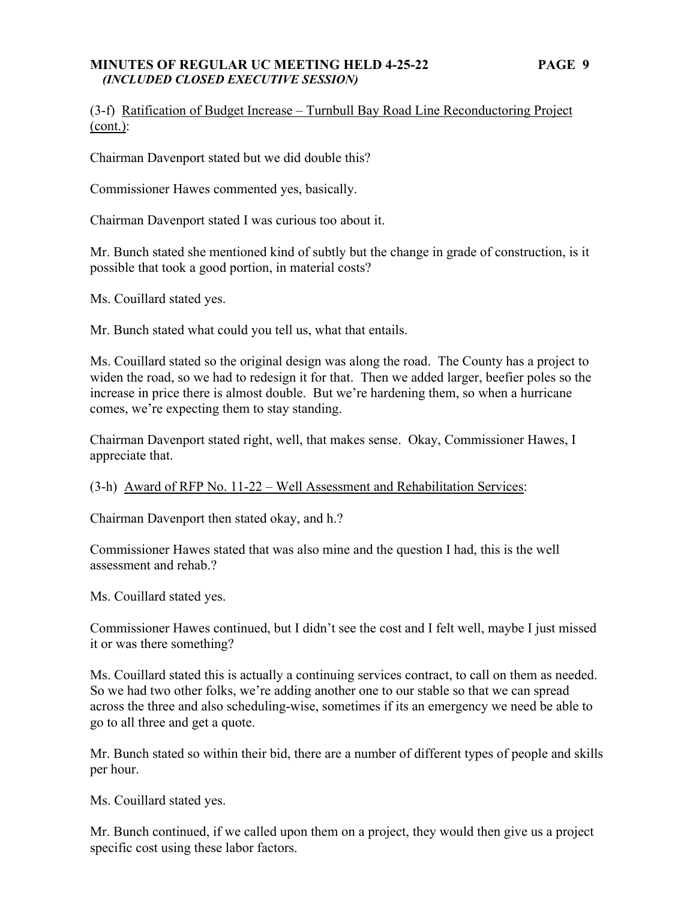### **MINUTES OF REGULAR UC MEETING HELD 4-25-22 PAGE 9**   *(INCLUDED CLOSED EXECUTIVE SESSION)*

# (3-f) Ratification of Budget Increase – Turnbull Bay Road Line Reconductoring Project (cont.):

Chairman Davenport stated but we did double this?

Commissioner Hawes commented yes, basically.

Chairman Davenport stated I was curious too about it.

Mr. Bunch stated she mentioned kind of subtly but the change in grade of construction, is it possible that took a good portion, in material costs?

Ms. Couillard stated yes.

Mr. Bunch stated what could you tell us, what that entails.

Ms. Couillard stated so the original design was along the road. The County has a project to widen the road, so we had to redesign it for that. Then we added larger, beefier poles so the increase in price there is almost double. But we're hardening them, so when a hurricane comes, we're expecting them to stay standing.

Chairman Davenport stated right, well, that makes sense. Okay, Commissioner Hawes, I appreciate that.

(3-h) Award of RFP No. 11-22 – Well Assessment and Rehabilitation Services:

Chairman Davenport then stated okay, and h.?

Commissioner Hawes stated that was also mine and the question I had, this is the well assessment and rehab.?

Ms. Couillard stated yes.

Commissioner Hawes continued, but I didn't see the cost and I felt well, maybe I just missed it or was there something?

Ms. Couillard stated this is actually a continuing services contract, to call on them as needed. So we had two other folks, we're adding another one to our stable so that we can spread across the three and also scheduling-wise, sometimes if its an emergency we need be able to go to all three and get a quote.

Mr. Bunch stated so within their bid, there are a number of different types of people and skills per hour.

Ms. Couillard stated yes.

Mr. Bunch continued, if we called upon them on a project, they would then give us a project specific cost using these labor factors.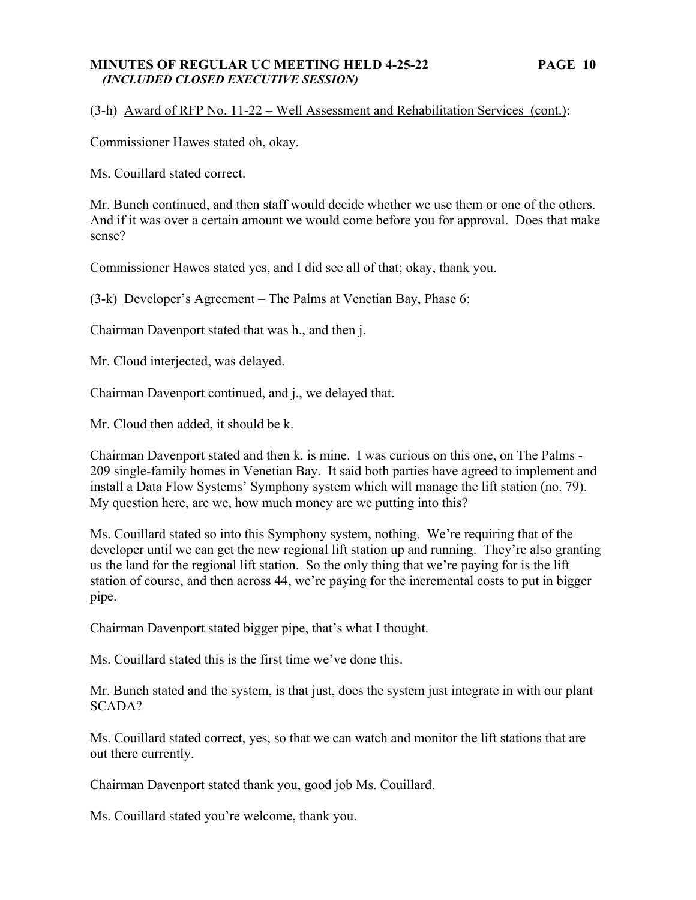### **MINUTES OF REGULAR UC MEETING HELD 4-25-22 PAGE 10**   *(INCLUDED CLOSED EXECUTIVE SESSION)*

### (3-h) Award of RFP No. 11-22 – Well Assessment and Rehabilitation Services (cont.):

Commissioner Hawes stated oh, okay.

Ms. Couillard stated correct.

Mr. Bunch continued, and then staff would decide whether we use them or one of the others. And if it was over a certain amount we would come before you for approval. Does that make sense?

Commissioner Hawes stated yes, and I did see all of that; okay, thank you.

(3-k) Developer's Agreement – The Palms at Venetian Bay, Phase 6:

Chairman Davenport stated that was h., and then j.

Mr. Cloud interjected, was delayed.

Chairman Davenport continued, and j., we delayed that.

Mr. Cloud then added, it should be k.

Chairman Davenport stated and then k. is mine. I was curious on this one, on The Palms - 209 single-family homes in Venetian Bay. It said both parties have agreed to implement and install a Data Flow Systems' Symphony system which will manage the lift station (no. 79). My question here, are we, how much money are we putting into this?

Ms. Couillard stated so into this Symphony system, nothing. We're requiring that of the developer until we can get the new regional lift station up and running. They're also granting us the land for the regional lift station. So the only thing that we're paying for is the lift station of course, and then across 44, we're paying for the incremental costs to put in bigger pipe.

Chairman Davenport stated bigger pipe, that's what I thought.

Ms. Couillard stated this is the first time we've done this.

Mr. Bunch stated and the system, is that just, does the system just integrate in with our plant SCADA?

Ms. Couillard stated correct, yes, so that we can watch and monitor the lift stations that are out there currently.

Chairman Davenport stated thank you, good job Ms. Couillard.

Ms. Couillard stated you're welcome, thank you.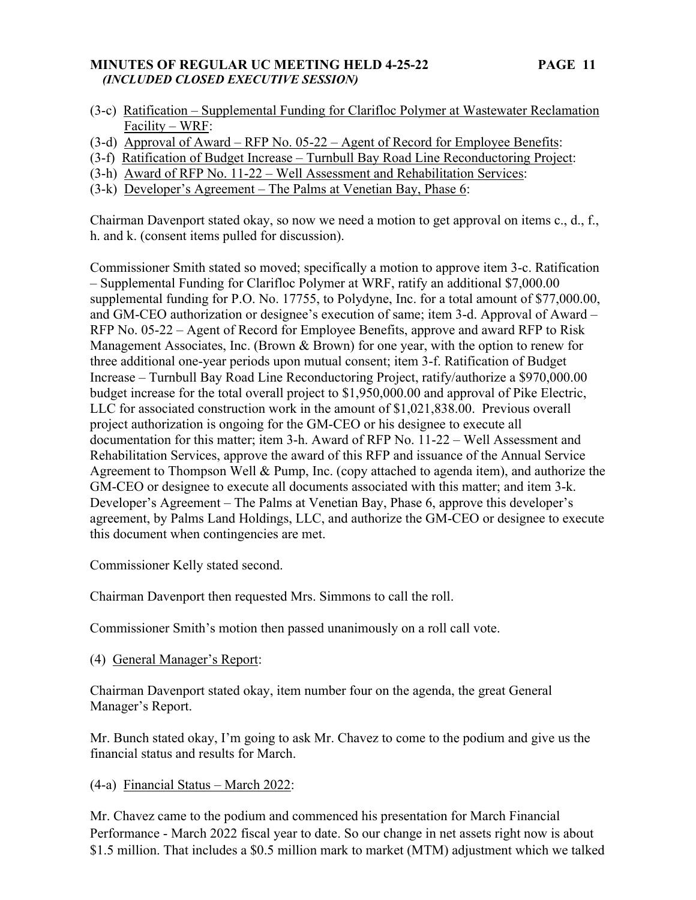# **MINUTES OF REGULAR UC MEETING HELD 4-25-22 PAGE 11**   *(INCLUDED CLOSED EXECUTIVE SESSION)*

- 
- (3-c) Ratification Supplemental Funding for Clarifloc Polymer at Wastewater Reclamation Facility – WRF:
- (3-d) Approval of Award RFP No. 05-22 Agent of Record for Employee Benefits:
- (3-f) Ratification of Budget Increase Turnbull Bay Road Line Reconductoring Project:
- (3-h) Award of RFP No. 11-22 Well Assessment and Rehabilitation Services:
- (3-k) Developer's Agreement The Palms at Venetian Bay, Phase 6:

Chairman Davenport stated okay, so now we need a motion to get approval on items c., d., f., h. and k. (consent items pulled for discussion).

Commissioner Smith stated so moved; specifically a motion to approve item 3-c. Ratification – Supplemental Funding for Clarifloc Polymer at WRF, ratify an additional \$7,000.00 supplemental funding for P.O. No. 17755, to Polydyne, Inc. for a total amount of \$77,000.00, and GM-CEO authorization or designee's execution of same; item 3-d. Approval of Award – RFP No. 05-22 – Agent of Record for Employee Benefits, approve and award RFP to Risk Management Associates, Inc. (Brown & Brown) for one year, with the option to renew for three additional one-year periods upon mutual consent; item 3-f. Ratification of Budget Increase – Turnbull Bay Road Line Reconductoring Project, ratify/authorize a \$970,000.00 budget increase for the total overall project to \$1,950,000.00 and approval of Pike Electric, LLC for associated construction work in the amount of \$1,021,838.00. Previous overall project authorization is ongoing for the GM-CEO or his designee to execute all documentation for this matter; item 3-h. Award of RFP No. 11-22 – Well Assessment and Rehabilitation Services, approve the award of this RFP and issuance of the Annual Service Agreement to Thompson Well & Pump, Inc. (copy attached to agenda item), and authorize the GM-CEO or designee to execute all documents associated with this matter; and item 3-k. Developer's Agreement – The Palms at Venetian Bay, Phase 6, approve this developer's agreement, by Palms Land Holdings, LLC, and authorize the GM-CEO or designee to execute this document when contingencies are met.

Commissioner Kelly stated second.

Chairman Davenport then requested Mrs. Simmons to call the roll.

Commissioner Smith's motion then passed unanimously on a roll call vote.

(4) General Manager's Report:

Chairman Davenport stated okay, item number four on the agenda, the great General Manager's Report.

Mr. Bunch stated okay, I'm going to ask Mr. Chavez to come to the podium and give us the financial status and results for March.

# (4-a) Financial Status – March 2022:

Mr. Chavez came to the podium and commenced his presentation for March Financial Performance - March 2022 fiscal year to date. So our change in net assets right now is about \$1.5 million. That includes a \$0.5 million mark to market (MTM) adjustment which we talked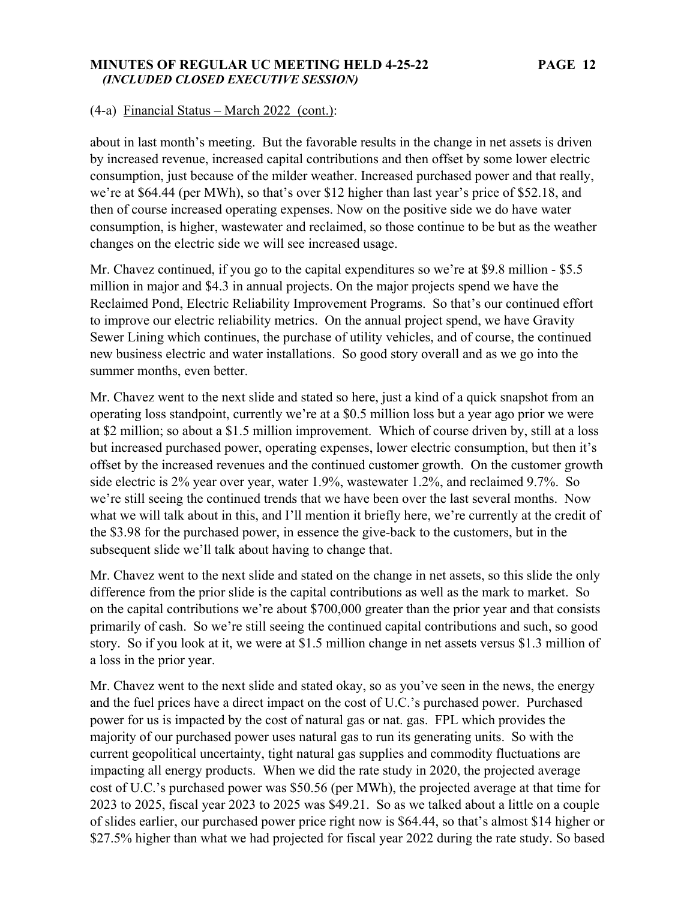### **MINUTES OF REGULAR UC MEETING HELD 4-25-22 PAGE 12**   *(INCLUDED CLOSED EXECUTIVE SESSION)*

### (4-a) Financial Status – March 2022 (cont.):

about in last month's meeting. But the favorable results in the change in net assets is driven by increased revenue, increased capital contributions and then offset by some lower electric consumption, just because of the milder weather. Increased purchased power and that really, we're at \$64.44 (per MWh), so that's over \$12 higher than last year's price of \$52.18, and then of course increased operating expenses. Now on the positive side we do have water consumption, is higher, wastewater and reclaimed, so those continue to be but as the weather changes on the electric side we will see increased usage.

Mr. Chavez continued, if you go to the capital expenditures so we're at \$9.8 million - \$5.5 million in major and \$4.3 in annual projects. On the major projects spend we have the Reclaimed Pond, Electric Reliability Improvement Programs. So that's our continued effort to improve our electric reliability metrics. On the annual project spend, we have Gravity Sewer Lining which continues, the purchase of utility vehicles, and of course, the continued new business electric and water installations. So good story overall and as we go into the summer months, even better.

Mr. Chavez went to the next slide and stated so here, just a kind of a quick snapshot from an operating loss standpoint, currently we're at a \$0.5 million loss but a year ago prior we were at \$2 million; so about a \$1.5 million improvement. Which of course driven by, still at a loss but increased purchased power, operating expenses, lower electric consumption, but then it's offset by the increased revenues and the continued customer growth. On the customer growth side electric is 2% year over year, water 1.9%, wastewater 1.2%, and reclaimed 9.7%. So we're still seeing the continued trends that we have been over the last several months. Now what we will talk about in this, and I'll mention it briefly here, we're currently at the credit of the \$3.98 for the purchased power, in essence the give-back to the customers, but in the subsequent slide we'll talk about having to change that.

Mr. Chavez went to the next slide and stated on the change in net assets, so this slide the only difference from the prior slide is the capital contributions as well as the mark to market. So on the capital contributions we're about \$700,000 greater than the prior year and that consists primarily of cash. So we're still seeing the continued capital contributions and such, so good story. So if you look at it, we were at \$1.5 million change in net assets versus \$1.3 million of a loss in the prior year.

Mr. Chavez went to the next slide and stated okay, so as you've seen in the news, the energy and the fuel prices have a direct impact on the cost of U.C.'s purchased power. Purchased power for us is impacted by the cost of natural gas or nat. gas. FPL which provides the majority of our purchased power uses natural gas to run its generating units. So with the current geopolitical uncertainty, tight natural gas supplies and commodity fluctuations are impacting all energy products. When we did the rate study in 2020, the projected average cost of U.C.'s purchased power was \$50.56 (per MWh), the projected average at that time for 2023 to 2025, fiscal year 2023 to 2025 was \$49.21. So as we talked about a little on a couple of slides earlier, our purchased power price right now is \$64.44, so that's almost \$14 higher or \$27.5% higher than what we had projected for fiscal year 2022 during the rate study. So based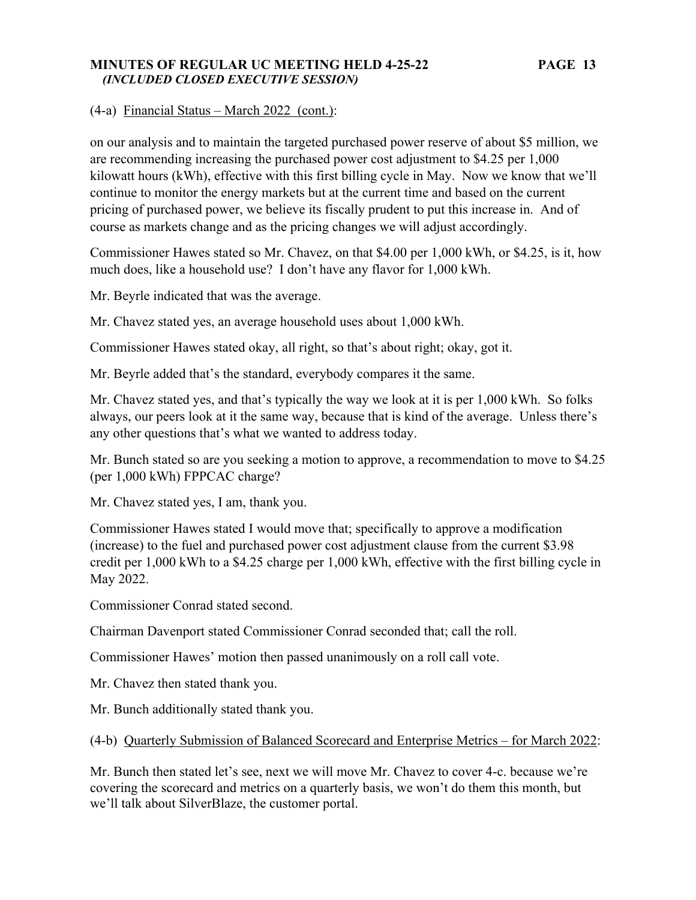### **MINUTES OF REGULAR UC MEETING HELD 4-25-22 PAGE 13**   *(INCLUDED CLOSED EXECUTIVE SESSION)*

(4-a) Financial Status – March 2022 (cont.):

on our analysis and to maintain the targeted purchased power reserve of about \$5 million, we are recommending increasing the purchased power cost adjustment to \$4.25 per 1,000 kilowatt hours (kWh), effective with this first billing cycle in May. Now we know that we'll continue to monitor the energy markets but at the current time and based on the current pricing of purchased power, we believe its fiscally prudent to put this increase in. And of course as markets change and as the pricing changes we will adjust accordingly.

Commissioner Hawes stated so Mr. Chavez, on that \$4.00 per 1,000 kWh, or \$4.25, is it, how much does, like a household use? I don't have any flavor for 1,000 kWh.

Mr. Beyrle indicated that was the average.

Mr. Chavez stated yes, an average household uses about 1,000 kWh.

Commissioner Hawes stated okay, all right, so that's about right; okay, got it.

Mr. Beyrle added that's the standard, everybody compares it the same.

Mr. Chavez stated yes, and that's typically the way we look at it is per 1,000 kWh. So folks always, our peers look at it the same way, because that is kind of the average. Unless there's any other questions that's what we wanted to address today.

Mr. Bunch stated so are you seeking a motion to approve, a recommendation to move to \$4.25 (per 1,000 kWh) FPPCAC charge?

Mr. Chavez stated yes, I am, thank you.

Commissioner Hawes stated I would move that; specifically to approve a modification (increase) to the fuel and purchased power cost adjustment clause from the current \$3.98 credit per 1,000 kWh to a \$4.25 charge per 1,000 kWh, effective with the first billing cycle in May 2022.

Commissioner Conrad stated second.

Chairman Davenport stated Commissioner Conrad seconded that; call the roll.

Commissioner Hawes' motion then passed unanimously on a roll call vote.

Mr. Chavez then stated thank you.

Mr. Bunch additionally stated thank you.

(4-b) Quarterly Submission of Balanced Scorecard and Enterprise Metrics – for March 2022:

Mr. Bunch then stated let's see, next we will move Mr. Chavez to cover 4-c. because we're covering the scorecard and metrics on a quarterly basis, we won't do them this month, but we'll talk about SilverBlaze, the customer portal.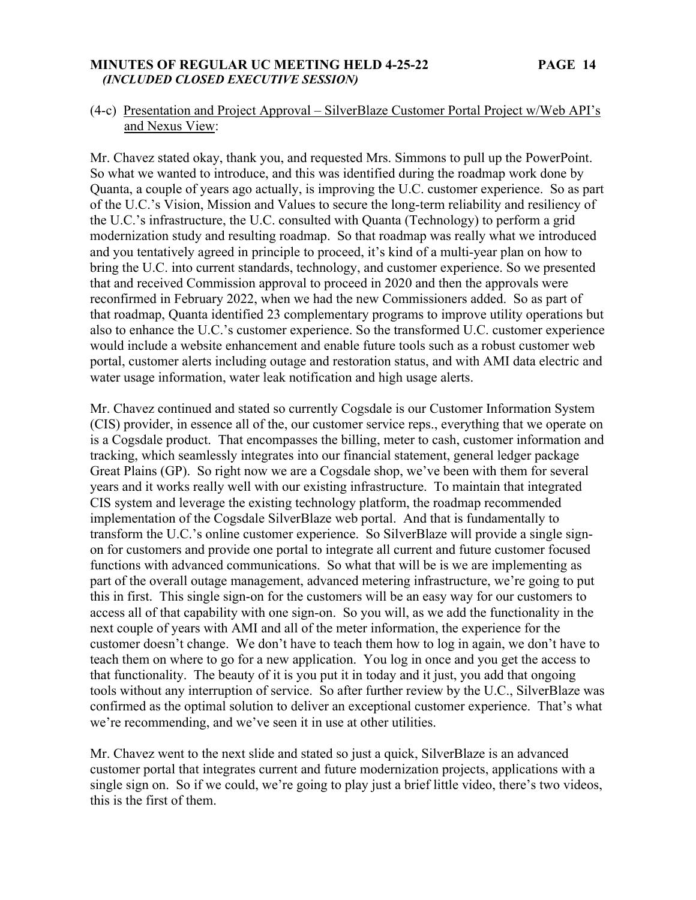### **MINUTES OF REGULAR UC MEETING HELD 4-25-22 PAGE 14**   *(INCLUDED CLOSED EXECUTIVE SESSION)*

# (4-c) Presentation and Project Approval – SilverBlaze Customer Portal Project w/Web API's and Nexus View:

Mr. Chavez stated okay, thank you, and requested Mrs. Simmons to pull up the PowerPoint. So what we wanted to introduce, and this was identified during the roadmap work done by Quanta, a couple of years ago actually, is improving the U.C. customer experience. So as part of the U.C.'s Vision, Mission and Values to secure the long-term reliability and resiliency of the U.C.'s infrastructure, the U.C. consulted with Quanta (Technology) to perform a grid modernization study and resulting roadmap. So that roadmap was really what we introduced and you tentatively agreed in principle to proceed, it's kind of a multi-year plan on how to bring the U.C. into current standards, technology, and customer experience. So we presented that and received Commission approval to proceed in 2020 and then the approvals were reconfirmed in February 2022, when we had the new Commissioners added. So as part of that roadmap, Quanta identified 23 complementary programs to improve utility operations but also to enhance the U.C.'s customer experience. So the transformed U.C. customer experience would include a website enhancement and enable future tools such as a robust customer web portal, customer alerts including outage and restoration status, and with AMI data electric and water usage information, water leak notification and high usage alerts.

Mr. Chavez continued and stated so currently Cogsdale is our Customer Information System (CIS) provider, in essence all of the, our customer service reps., everything that we operate on is a Cogsdale product. That encompasses the billing, meter to cash, customer information and tracking, which seamlessly integrates into our financial statement, general ledger package Great Plains (GP). So right now we are a Cogsdale shop, we've been with them for several years and it works really well with our existing infrastructure. To maintain that integrated CIS system and leverage the existing technology platform, the roadmap recommended implementation of the Cogsdale SilverBlaze web portal. And that is fundamentally to transform the U.C.'s online customer experience. So SilverBlaze will provide a single signon for customers and provide one portal to integrate all current and future customer focused functions with advanced communications. So what that will be is we are implementing as part of the overall outage management, advanced metering infrastructure, we're going to put this in first. This single sign-on for the customers will be an easy way for our customers to access all of that capability with one sign-on. So you will, as we add the functionality in the next couple of years with AMI and all of the meter information, the experience for the customer doesn't change. We don't have to teach them how to log in again, we don't have to teach them on where to go for a new application. You log in once and you get the access to that functionality. The beauty of it is you put it in today and it just, you add that ongoing tools without any interruption of service. So after further review by the U.C., SilverBlaze was confirmed as the optimal solution to deliver an exceptional customer experience. That's what we're recommending, and we've seen it in use at other utilities.

Mr. Chavez went to the next slide and stated so just a quick, SilverBlaze is an advanced customer portal that integrates current and future modernization projects, applications with a single sign on. So if we could, we're going to play just a brief little video, there's two videos, this is the first of them.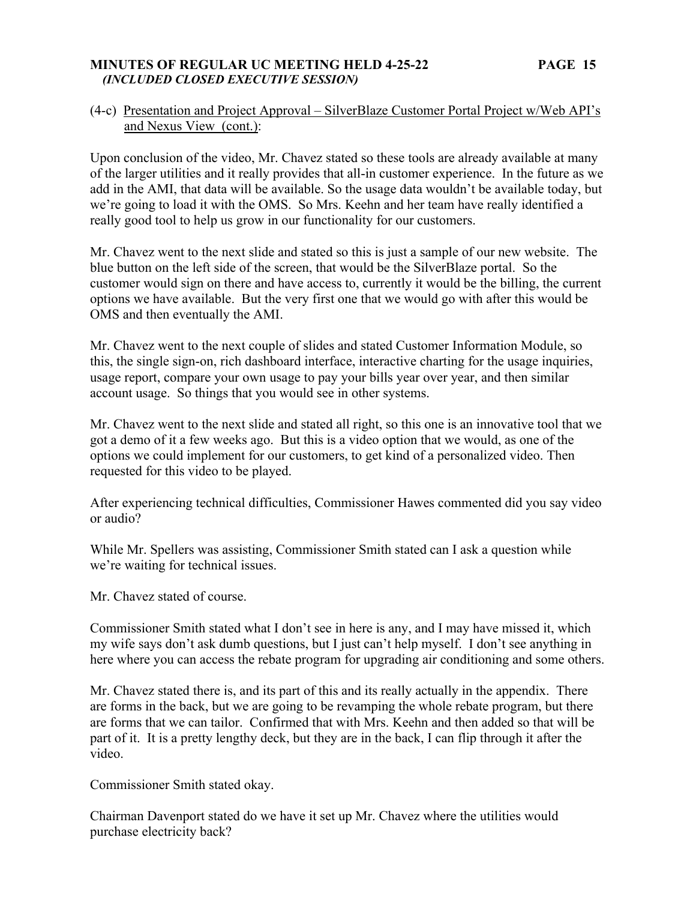### **MINUTES OF REGULAR UC MEETING HELD 4-25-22 PAGE 15**   *(INCLUDED CLOSED EXECUTIVE SESSION)*

# (4-c) Presentation and Project Approval – SilverBlaze Customer Portal Project w/Web API's and Nexus View (cont.):

Upon conclusion of the video, Mr. Chavez stated so these tools are already available at many of the larger utilities and it really provides that all-in customer experience. In the future as we add in the AMI, that data will be available. So the usage data wouldn't be available today, but we're going to load it with the OMS. So Mrs. Keehn and her team have really identified a really good tool to help us grow in our functionality for our customers.

Mr. Chavez went to the next slide and stated so this is just a sample of our new website. The blue button on the left side of the screen, that would be the SilverBlaze portal. So the customer would sign on there and have access to, currently it would be the billing, the current options we have available. But the very first one that we would go with after this would be OMS and then eventually the AMI.

Mr. Chavez went to the next couple of slides and stated Customer Information Module, so this, the single sign-on, rich dashboard interface, interactive charting for the usage inquiries, usage report, compare your own usage to pay your bills year over year, and then similar account usage. So things that you would see in other systems.

Mr. Chavez went to the next slide and stated all right, so this one is an innovative tool that we got a demo of it a few weeks ago. But this is a video option that we would, as one of the options we could implement for our customers, to get kind of a personalized video. Then requested for this video to be played.

After experiencing technical difficulties, Commissioner Hawes commented did you say video or audio?

While Mr. Spellers was assisting, Commissioner Smith stated can I ask a question while we're waiting for technical issues.

Mr. Chavez stated of course.

Commissioner Smith stated what I don't see in here is any, and I may have missed it, which my wife says don't ask dumb questions, but I just can't help myself. I don't see anything in here where you can access the rebate program for upgrading air conditioning and some others.

Mr. Chavez stated there is, and its part of this and its really actually in the appendix. There are forms in the back, but we are going to be revamping the whole rebate program, but there are forms that we can tailor. Confirmed that with Mrs. Keehn and then added so that will be part of it. It is a pretty lengthy deck, but they are in the back, I can flip through it after the video.

Commissioner Smith stated okay.

Chairman Davenport stated do we have it set up Mr. Chavez where the utilities would purchase electricity back?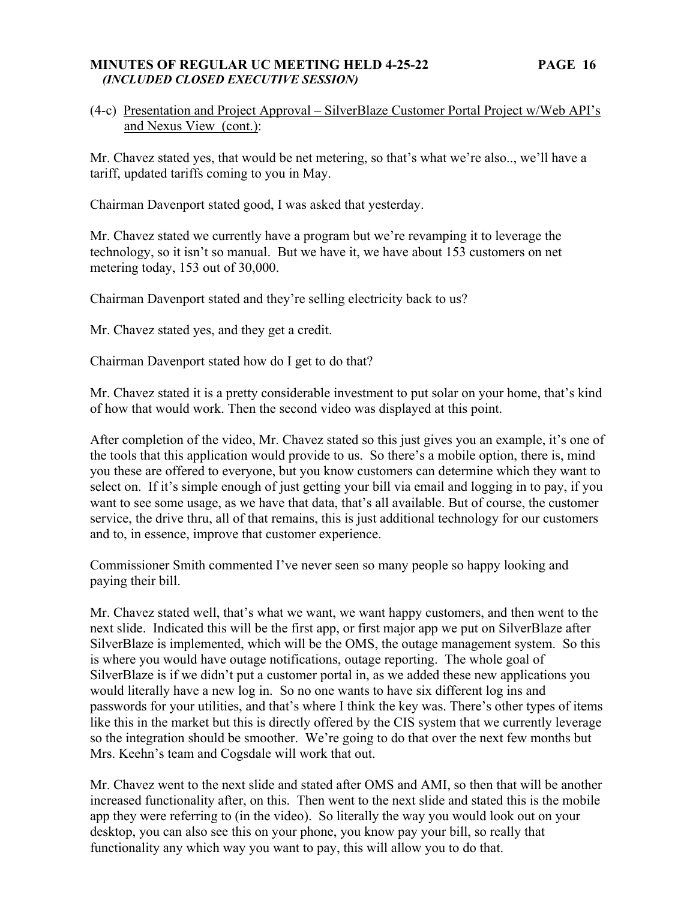### **MINUTES OF REGULAR UC MEETING HELD 4-25-22 PAGE 16**   *(INCLUDED CLOSED EXECUTIVE SESSION)*

# (4-c) Presentation and Project Approval – SilverBlaze Customer Portal Project w/Web API's and Nexus View (cont.):

Mr. Chavez stated yes, that would be net metering, so that's what we're also.., we'll have a tariff, updated tariffs coming to you in May.

Chairman Davenport stated good, I was asked that yesterday.

Mr. Chavez stated we currently have a program but we're revamping it to leverage the technology, so it isn't so manual. But we have it, we have about 153 customers on net metering today, 153 out of 30,000.

Chairman Davenport stated and they're selling electricity back to us?

Mr. Chavez stated yes, and they get a credit.

Chairman Davenport stated how do I get to do that?

Mr. Chavez stated it is a pretty considerable investment to put solar on your home, that's kind of how that would work. Then the second video was displayed at this point.

After completion of the video, Mr. Chavez stated so this just gives you an example, it's one of the tools that this application would provide to us. So there's a mobile option, there is, mind you these are offered to everyone, but you know customers can determine which they want to select on. If it's simple enough of just getting your bill via email and logging in to pay, if you want to see some usage, as we have that data, that's all available. But of course, the customer service, the drive thru, all of that remains, this is just additional technology for our customers and to, in essence, improve that customer experience.

Commissioner Smith commented I've never seen so many people so happy looking and paying their bill.

Mr. Chavez stated well, that's what we want, we want happy customers, and then went to the next slide. Indicated this will be the first app, or first major app we put on SilverBlaze after SilverBlaze is implemented, which will be the OMS, the outage management system. So this is where you would have outage notifications, outage reporting. The whole goal of SilverBlaze is if we didn't put a customer portal in, as we added these new applications you would literally have a new log in. So no one wants to have six different log ins and passwords for your utilities, and that's where I think the key was. There's other types of items like this in the market but this is directly offered by the CIS system that we currently leverage so the integration should be smoother. We're going to do that over the next few months but Mrs. Keehn's team and Cogsdale will work that out.

Mr. Chavez went to the next slide and stated after OMS and AMI, so then that will be another increased functionality after, on this. Then went to the next slide and stated this is the mobile app they were referring to (in the video). So literally the way you would look out on your desktop, you can also see this on your phone, you know pay your bill, so really that functionality any which way you want to pay, this will allow you to do that.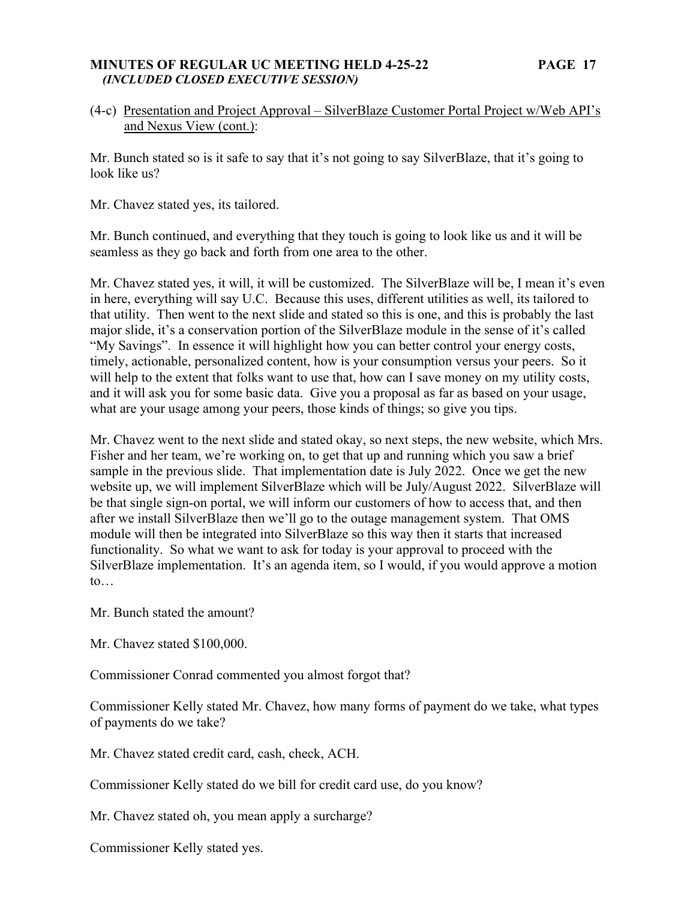### **MINUTES OF REGULAR UC MEETING HELD 4-25-22 PAGE 17**   *(INCLUDED CLOSED EXECUTIVE SESSION)*

# (4-c) Presentation and Project Approval – SilverBlaze Customer Portal Project w/Web API's and Nexus View (cont.):

Mr. Bunch stated so is it safe to say that it's not going to say SilverBlaze, that it's going to look like us?

Mr. Chavez stated yes, its tailored.

Mr. Bunch continued, and everything that they touch is going to look like us and it will be seamless as they go back and forth from one area to the other.

Mr. Chavez stated yes, it will, it will be customized. The SilverBlaze will be, I mean it's even in here, everything will say U.C. Because this uses, different utilities as well, its tailored to that utility. Then went to the next slide and stated so this is one, and this is probably the last major slide, it's a conservation portion of the SilverBlaze module in the sense of it's called "My Savings". In essence it will highlight how you can better control your energy costs, timely, actionable, personalized content, how is your consumption versus your peers. So it will help to the extent that folks want to use that, how can I save money on my utility costs, and it will ask you for some basic data. Give you a proposal as far as based on your usage, what are your usage among your peers, those kinds of things; so give you tips.

Mr. Chavez went to the next slide and stated okay, so next steps, the new website, which Mrs. Fisher and her team, we're working on, to get that up and running which you saw a brief sample in the previous slide. That implementation date is July 2022. Once we get the new website up, we will implement SilverBlaze which will be July/August 2022. SilverBlaze will be that single sign-on portal, we will inform our customers of how to access that, and then after we install SilverBlaze then we'll go to the outage management system. That OMS module will then be integrated into SilverBlaze so this way then it starts that increased functionality. So what we want to ask for today is your approval to proceed with the SilverBlaze implementation. It's an agenda item, so I would, if you would approve a motion to…

Mr. Bunch stated the amount?

Mr. Chavez stated \$100,000.

Commissioner Conrad commented you almost forgot that?

Commissioner Kelly stated Mr. Chavez, how many forms of payment do we take, what types of payments do we take?

Mr. Chavez stated credit card, cash, check, ACH.

Commissioner Kelly stated do we bill for credit card use, do you know?

Mr. Chavez stated oh, you mean apply a surcharge?

Commissioner Kelly stated yes.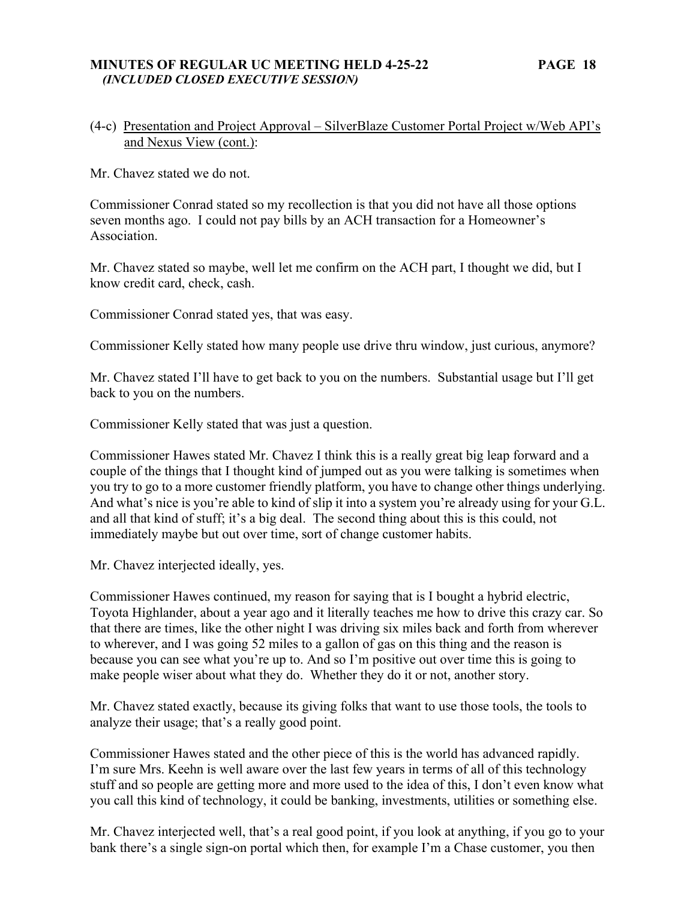### **MINUTES OF REGULAR UC MEETING HELD 4-25-22 PAGE 18**   *(INCLUDED CLOSED EXECUTIVE SESSION)*

# (4-c) Presentation and Project Approval – SilverBlaze Customer Portal Project w/Web API's and Nexus View (cont.):

Mr. Chavez stated we do not.

Commissioner Conrad stated so my recollection is that you did not have all those options seven months ago. I could not pay bills by an ACH transaction for a Homeowner's Association.

Mr. Chavez stated so maybe, well let me confirm on the ACH part, I thought we did, but I know credit card, check, cash.

Commissioner Conrad stated yes, that was easy.

Commissioner Kelly stated how many people use drive thru window, just curious, anymore?

Mr. Chavez stated I'll have to get back to you on the numbers. Substantial usage but I'll get back to you on the numbers.

Commissioner Kelly stated that was just a question.

Commissioner Hawes stated Mr. Chavez I think this is a really great big leap forward and a couple of the things that I thought kind of jumped out as you were talking is sometimes when you try to go to a more customer friendly platform, you have to change other things underlying. And what's nice is you're able to kind of slip it into a system you're already using for your G.L. and all that kind of stuff; it's a big deal. The second thing about this is this could, not immediately maybe but out over time, sort of change customer habits.

Mr. Chavez interjected ideally, yes.

Commissioner Hawes continued, my reason for saying that is I bought a hybrid electric, Toyota Highlander, about a year ago and it literally teaches me how to drive this crazy car. So that there are times, like the other night I was driving six miles back and forth from wherever to wherever, and I was going 52 miles to a gallon of gas on this thing and the reason is because you can see what you're up to. And so I'm positive out over time this is going to make people wiser about what they do. Whether they do it or not, another story.

Mr. Chavez stated exactly, because its giving folks that want to use those tools, the tools to analyze their usage; that's a really good point.

Commissioner Hawes stated and the other piece of this is the world has advanced rapidly. I'm sure Mrs. Keehn is well aware over the last few years in terms of all of this technology stuff and so people are getting more and more used to the idea of this, I don't even know what you call this kind of technology, it could be banking, investments, utilities or something else.

Mr. Chavez interjected well, that's a real good point, if you look at anything, if you go to your bank there's a single sign-on portal which then, for example I'm a Chase customer, you then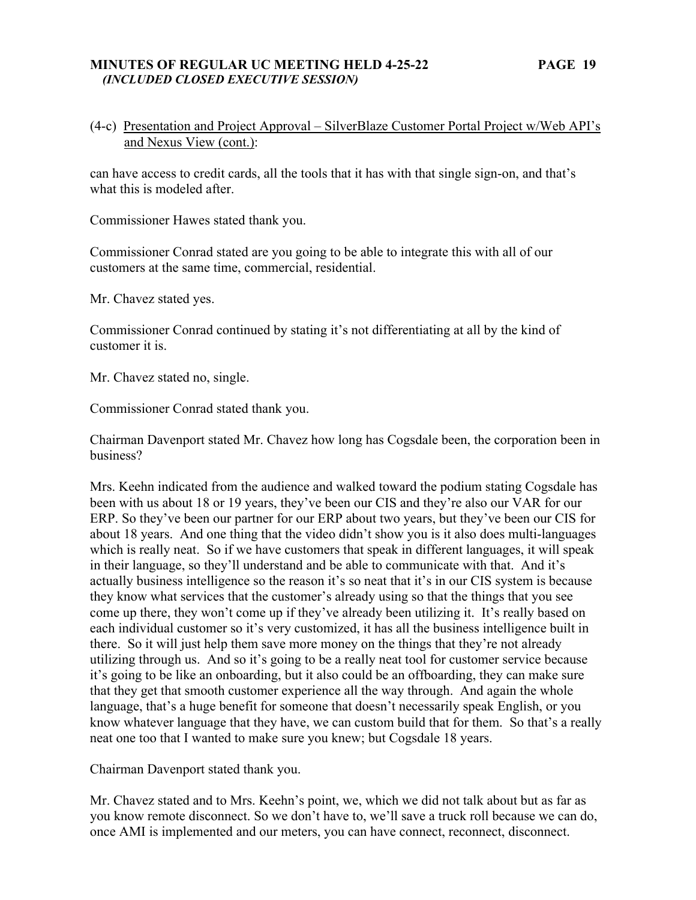### **MINUTES OF REGULAR UC MEETING HELD 4-25-22 PAGE 19**   *(INCLUDED CLOSED EXECUTIVE SESSION)*

# (4-c) Presentation and Project Approval – SilverBlaze Customer Portal Project w/Web API's and Nexus View (cont.):

can have access to credit cards, all the tools that it has with that single sign-on, and that's what this is modeled after.

Commissioner Hawes stated thank you.

Commissioner Conrad stated are you going to be able to integrate this with all of our customers at the same time, commercial, residential.

Mr. Chavez stated yes.

Commissioner Conrad continued by stating it's not differentiating at all by the kind of customer it is.

Mr. Chavez stated no, single.

Commissioner Conrad stated thank you.

Chairman Davenport stated Mr. Chavez how long has Cogsdale been, the corporation been in business?

Mrs. Keehn indicated from the audience and walked toward the podium stating Cogsdale has been with us about 18 or 19 years, they've been our CIS and they're also our VAR for our ERP. So they've been our partner for our ERP about two years, but they've been our CIS for about 18 years. And one thing that the video didn't show you is it also does multi-languages which is really neat. So if we have customers that speak in different languages, it will speak in their language, so they'll understand and be able to communicate with that. And it's actually business intelligence so the reason it's so neat that it's in our CIS system is because they know what services that the customer's already using so that the things that you see come up there, they won't come up if they've already been utilizing it. It's really based on each individual customer so it's very customized, it has all the business intelligence built in there. So it will just help them save more money on the things that they're not already utilizing through us. And so it's going to be a really neat tool for customer service because it's going to be like an onboarding, but it also could be an offboarding, they can make sure that they get that smooth customer experience all the way through. And again the whole language, that's a huge benefit for someone that doesn't necessarily speak English, or you know whatever language that they have, we can custom build that for them. So that's a really neat one too that I wanted to make sure you knew; but Cogsdale 18 years.

Chairman Davenport stated thank you.

Mr. Chavez stated and to Mrs. Keehn's point, we, which we did not talk about but as far as you know remote disconnect. So we don't have to, we'll save a truck roll because we can do, once AMI is implemented and our meters, you can have connect, reconnect, disconnect.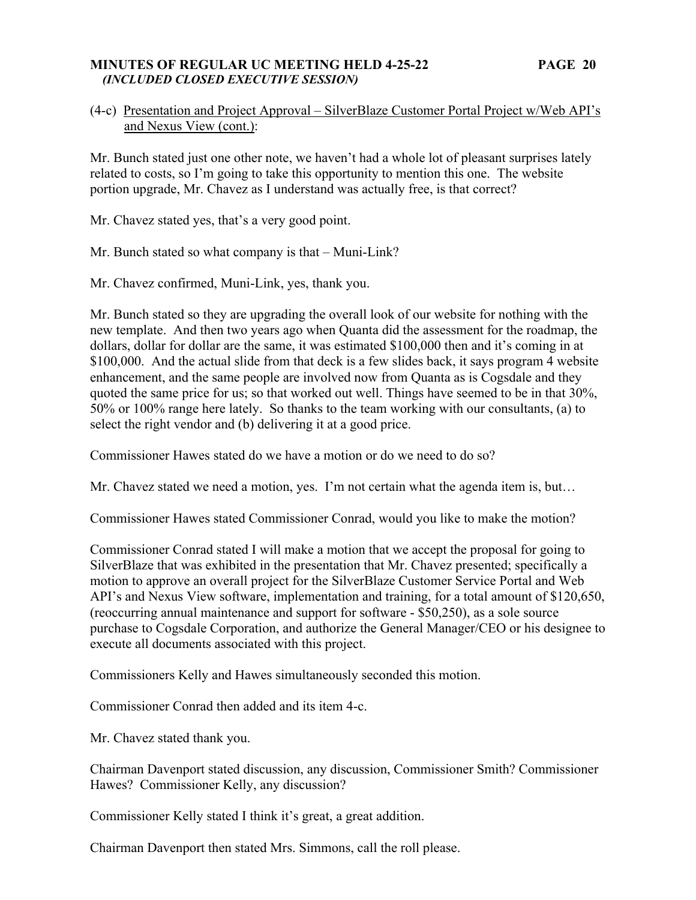### **MINUTES OF REGULAR UC MEETING HELD 4-25-22 PAGE 20**   *(INCLUDED CLOSED EXECUTIVE SESSION)*

# (4-c) Presentation and Project Approval – SilverBlaze Customer Portal Project w/Web API's and Nexus View (cont.):

Mr. Bunch stated just one other note, we haven't had a whole lot of pleasant surprises lately related to costs, so I'm going to take this opportunity to mention this one. The website portion upgrade, Mr. Chavez as I understand was actually free, is that correct?

Mr. Chavez stated yes, that's a very good point.

Mr. Bunch stated so what company is that – Muni-Link?

Mr. Chavez confirmed, Muni-Link, yes, thank you.

Mr. Bunch stated so they are upgrading the overall look of our website for nothing with the new template. And then two years ago when Quanta did the assessment for the roadmap, the dollars, dollar for dollar are the same, it was estimated \$100,000 then and it's coming in at \$100,000. And the actual slide from that deck is a few slides back, it says program 4 website enhancement, and the same people are involved now from Quanta as is Cogsdale and they quoted the same price for us; so that worked out well. Things have seemed to be in that 30%, 50% or 100% range here lately. So thanks to the team working with our consultants, (a) to select the right vendor and (b) delivering it at a good price.

Commissioner Hawes stated do we have a motion or do we need to do so?

Mr. Chavez stated we need a motion, yes. I'm not certain what the agenda item is, but…

Commissioner Hawes stated Commissioner Conrad, would you like to make the motion?

Commissioner Conrad stated I will make a motion that we accept the proposal for going to SilverBlaze that was exhibited in the presentation that Mr. Chavez presented; specifically a motion to approve an overall project for the SilverBlaze Customer Service Portal and Web API's and Nexus View software, implementation and training, for a total amount of \$120,650, (reoccurring annual maintenance and support for software - \$50,250), as a sole source purchase to Cogsdale Corporation, and authorize the General Manager/CEO or his designee to execute all documents associated with this project.

Commissioners Kelly and Hawes simultaneously seconded this motion.

Commissioner Conrad then added and its item 4-c.

Mr. Chavez stated thank you.

Chairman Davenport stated discussion, any discussion, Commissioner Smith? Commissioner Hawes? Commissioner Kelly, any discussion?

Commissioner Kelly stated I think it's great, a great addition.

Chairman Davenport then stated Mrs. Simmons, call the roll please.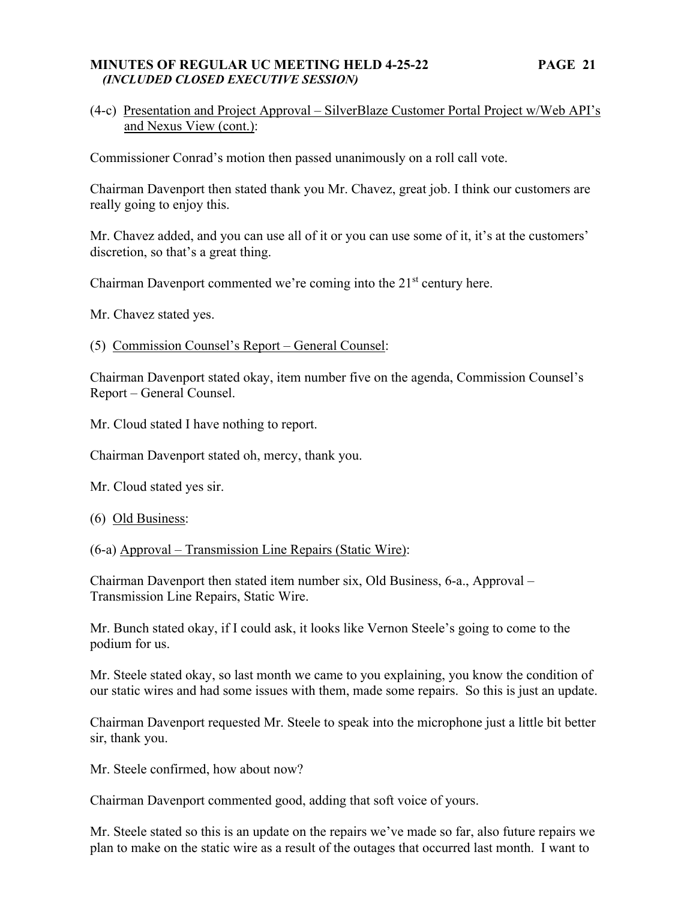### **MINUTES OF REGULAR UC MEETING HELD 4-25-22 PAGE 21**   *(INCLUDED CLOSED EXECUTIVE SESSION)*

# (4-c) Presentation and Project Approval – SilverBlaze Customer Portal Project w/Web API's and Nexus View (cont.):

Commissioner Conrad's motion then passed unanimously on a roll call vote.

Chairman Davenport then stated thank you Mr. Chavez, great job. I think our customers are really going to enjoy this.

Mr. Chavez added, and you can use all of it or you can use some of it, it's at the customers' discretion, so that's a great thing.

Chairman Davenport commented we're coming into the  $21<sup>st</sup>$  century here.

Mr. Chavez stated yes.

(5) Commission Counsel's Report – General Counsel:

Chairman Davenport stated okay, item number five on the agenda, Commission Counsel's Report – General Counsel.

Mr. Cloud stated I have nothing to report.

Chairman Davenport stated oh, mercy, thank you.

Mr. Cloud stated yes sir.

(6) Old Business:

(6-a) Approval – Transmission Line Repairs (Static Wire):

Chairman Davenport then stated item number six, Old Business, 6-a., Approval – Transmission Line Repairs, Static Wire.

Mr. Bunch stated okay, if I could ask, it looks like Vernon Steele's going to come to the podium for us.

Mr. Steele stated okay, so last month we came to you explaining, you know the condition of our static wires and had some issues with them, made some repairs. So this is just an update.

Chairman Davenport requested Mr. Steele to speak into the microphone just a little bit better sir, thank you.

Mr. Steele confirmed, how about now?

Chairman Davenport commented good, adding that soft voice of yours.

Mr. Steele stated so this is an update on the repairs we've made so far, also future repairs we plan to make on the static wire as a result of the outages that occurred last month. I want to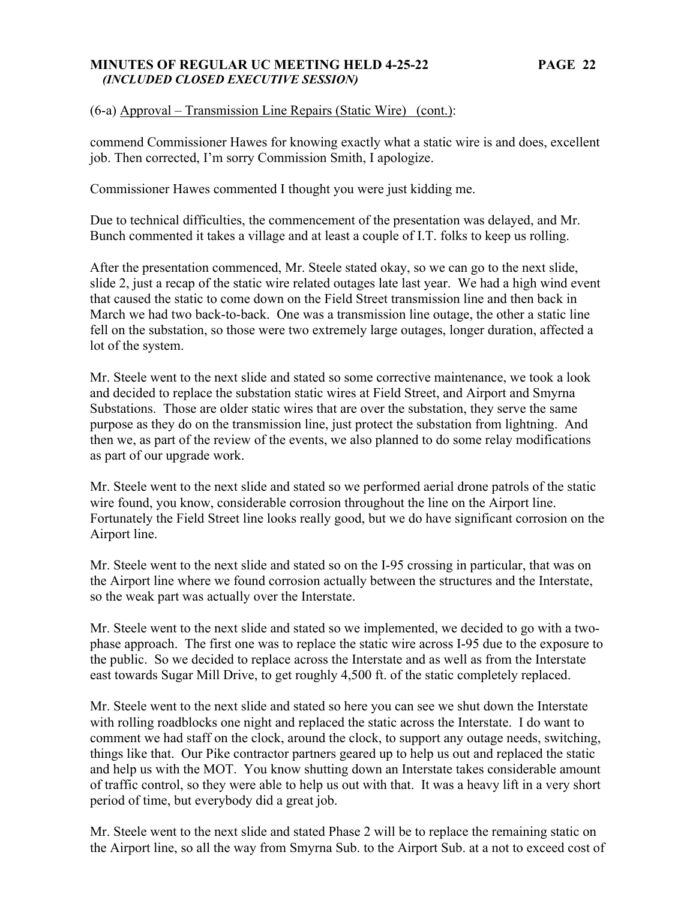### **MINUTES OF REGULAR UC MEETING HELD 4-25-22 PAGE 22**   *(INCLUDED CLOSED EXECUTIVE SESSION)*

(6-a) Approval – Transmission Line Repairs (Static Wire) (cont.):

commend Commissioner Hawes for knowing exactly what a static wire is and does, excellent job. Then corrected, I'm sorry Commission Smith, I apologize.

Commissioner Hawes commented I thought you were just kidding me.

Due to technical difficulties, the commencement of the presentation was delayed, and Mr. Bunch commented it takes a village and at least a couple of I.T. folks to keep us rolling.

After the presentation commenced, Mr. Steele stated okay, so we can go to the next slide, slide 2, just a recap of the static wire related outages late last year. We had a high wind event that caused the static to come down on the Field Street transmission line and then back in March we had two back-to-back. One was a transmission line outage, the other a static line fell on the substation, so those were two extremely large outages, longer duration, affected a lot of the system.

Mr. Steele went to the next slide and stated so some corrective maintenance, we took a look and decided to replace the substation static wires at Field Street, and Airport and Smyrna Substations. Those are older static wires that are over the substation, they serve the same purpose as they do on the transmission line, just protect the substation from lightning. And then we, as part of the review of the events, we also planned to do some relay modifications as part of our upgrade work.

Mr. Steele went to the next slide and stated so we performed aerial drone patrols of the static wire found, you know, considerable corrosion throughout the line on the Airport line. Fortunately the Field Street line looks really good, but we do have significant corrosion on the Airport line.

Mr. Steele went to the next slide and stated so on the I-95 crossing in particular, that was on the Airport line where we found corrosion actually between the structures and the Interstate, so the weak part was actually over the Interstate.

Mr. Steele went to the next slide and stated so we implemented, we decided to go with a twophase approach. The first one was to replace the static wire across I-95 due to the exposure to the public. So we decided to replace across the Interstate and as well as from the Interstate east towards Sugar Mill Drive, to get roughly 4,500 ft. of the static completely replaced.

Mr. Steele went to the next slide and stated so here you can see we shut down the Interstate with rolling roadblocks one night and replaced the static across the Interstate. I do want to comment we had staff on the clock, around the clock, to support any outage needs, switching, things like that. Our Pike contractor partners geared up to help us out and replaced the static and help us with the MOT. You know shutting down an Interstate takes considerable amount of traffic control, so they were able to help us out with that. It was a heavy lift in a very short period of time, but everybody did a great job.

Mr. Steele went to the next slide and stated Phase 2 will be to replace the remaining static on the Airport line, so all the way from Smyrna Sub. to the Airport Sub. at a not to exceed cost of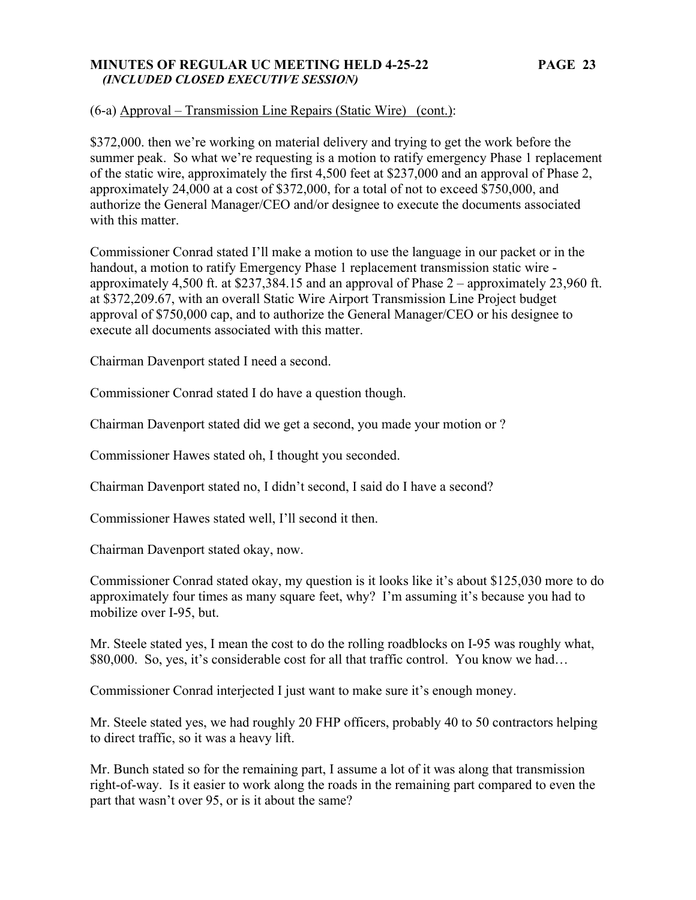### **MINUTES OF REGULAR UC MEETING HELD 4-25-22 PAGE 23**   *(INCLUDED CLOSED EXECUTIVE SESSION)*

(6-a) Approval – Transmission Line Repairs (Static Wire) (cont.):

\$372,000. then we're working on material delivery and trying to get the work before the summer peak. So what we're requesting is a motion to ratify emergency Phase 1 replacement of the static wire, approximately the first 4,500 feet at \$237,000 and an approval of Phase 2, approximately 24,000 at a cost of \$372,000, for a total of not to exceed \$750,000, and authorize the General Manager/CEO and/or designee to execute the documents associated with this matter.

Commissioner Conrad stated I'll make a motion to use the language in our packet or in the handout, a motion to ratify Emergency Phase 1 replacement transmission static wire approximately 4,500 ft. at \$237,384.15 and an approval of Phase 2 – approximately 23,960 ft. at \$372,209.67, with an overall Static Wire Airport Transmission Line Project budget approval of \$750,000 cap, and to authorize the General Manager/CEO or his designee to execute all documents associated with this matter.

Chairman Davenport stated I need a second.

Commissioner Conrad stated I do have a question though.

Chairman Davenport stated did we get a second, you made your motion or ?

Commissioner Hawes stated oh, I thought you seconded.

Chairman Davenport stated no, I didn't second, I said do I have a second?

Commissioner Hawes stated well, I'll second it then.

Chairman Davenport stated okay, now.

Commissioner Conrad stated okay, my question is it looks like it's about \$125,030 more to do approximately four times as many square feet, why? I'm assuming it's because you had to mobilize over I-95, but.

Mr. Steele stated yes, I mean the cost to do the rolling roadblocks on I-95 was roughly what, \$80,000. So, yes, it's considerable cost for all that traffic control. You know we had...

Commissioner Conrad interjected I just want to make sure it's enough money.

Mr. Steele stated yes, we had roughly 20 FHP officers, probably 40 to 50 contractors helping to direct traffic, so it was a heavy lift.

Mr. Bunch stated so for the remaining part, I assume a lot of it was along that transmission right-of-way. Is it easier to work along the roads in the remaining part compared to even the part that wasn't over 95, or is it about the same?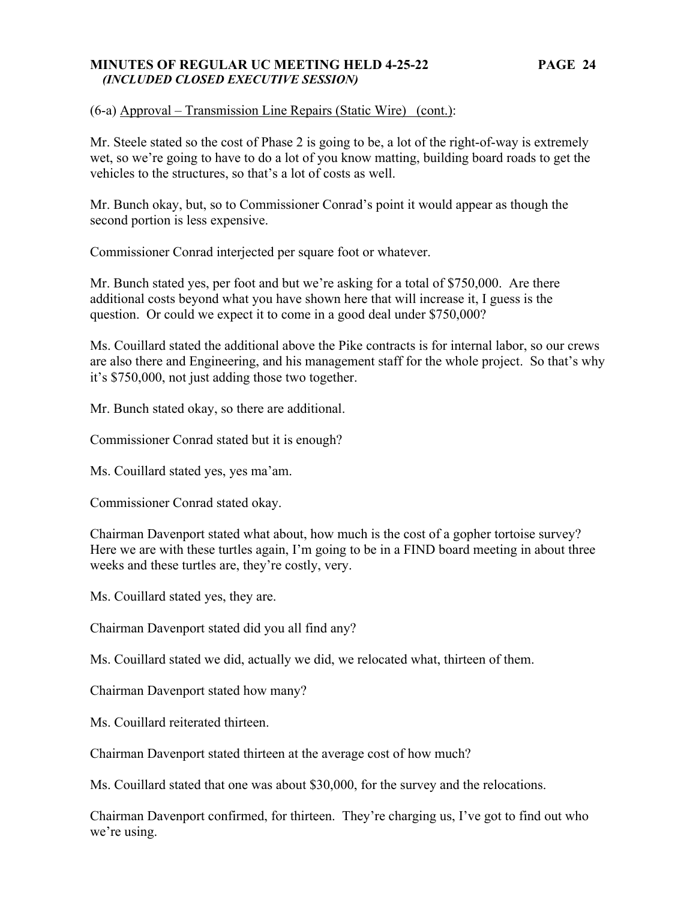### **MINUTES OF REGULAR UC MEETING HELD 4-25-22 PAGE 24**   *(INCLUDED CLOSED EXECUTIVE SESSION)*

(6-a) Approval – Transmission Line Repairs (Static Wire) (cont.):

Mr. Steele stated so the cost of Phase 2 is going to be, a lot of the right-of-way is extremely wet, so we're going to have to do a lot of you know matting, building board roads to get the vehicles to the structures, so that's a lot of costs as well.

Mr. Bunch okay, but, so to Commissioner Conrad's point it would appear as though the second portion is less expensive.

Commissioner Conrad interjected per square foot or whatever.

Mr. Bunch stated yes, per foot and but we're asking for a total of \$750,000. Are there additional costs beyond what you have shown here that will increase it, I guess is the question. Or could we expect it to come in a good deal under \$750,000?

Ms. Couillard stated the additional above the Pike contracts is for internal labor, so our crews are also there and Engineering, and his management staff for the whole project. So that's why it's \$750,000, not just adding those two together.

Mr. Bunch stated okay, so there are additional.

Commissioner Conrad stated but it is enough?

Ms. Couillard stated yes, yes ma'am.

Commissioner Conrad stated okay.

Chairman Davenport stated what about, how much is the cost of a gopher tortoise survey? Here we are with these turtles again, I'm going to be in a FIND board meeting in about three weeks and these turtles are, they're costly, very.

Ms. Couillard stated yes, they are.

Chairman Davenport stated did you all find any?

Ms. Couillard stated we did, actually we did, we relocated what, thirteen of them.

Chairman Davenport stated how many?

Ms. Couillard reiterated thirteen.

Chairman Davenport stated thirteen at the average cost of how much?

Ms. Couillard stated that one was about \$30,000, for the survey and the relocations.

Chairman Davenport confirmed, for thirteen. They're charging us, I've got to find out who we're using.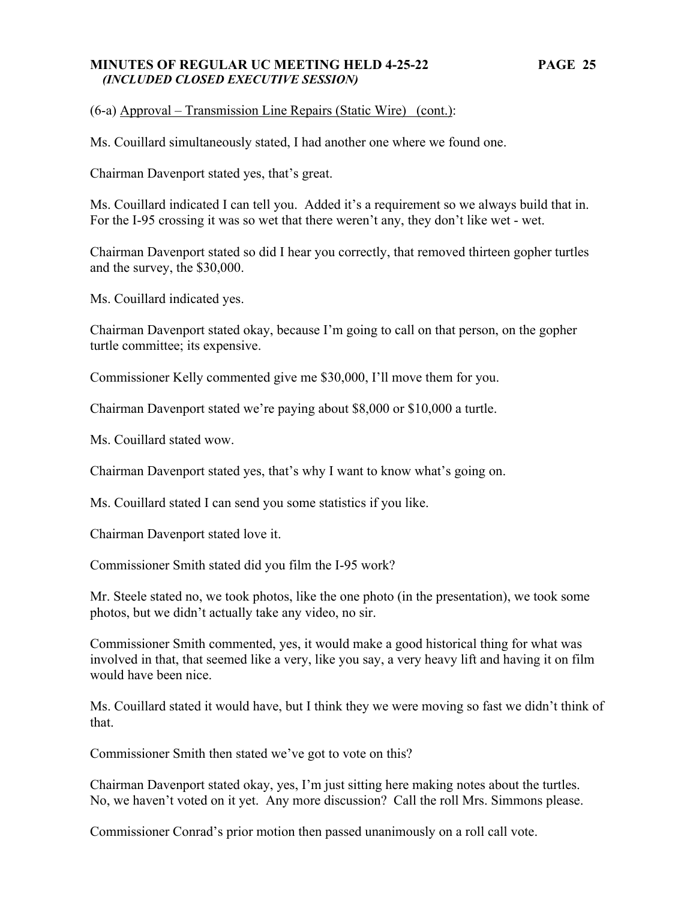### **MINUTES OF REGULAR UC MEETING HELD 4-25-22 PAGE 25**   *(INCLUDED CLOSED EXECUTIVE SESSION)*

(6-a) Approval – Transmission Line Repairs (Static Wire) (cont.):

Ms. Couillard simultaneously stated, I had another one where we found one.

Chairman Davenport stated yes, that's great.

Ms. Couillard indicated I can tell you. Added it's a requirement so we always build that in. For the I-95 crossing it was so wet that there weren't any, they don't like wet - wet.

Chairman Davenport stated so did I hear you correctly, that removed thirteen gopher turtles and the survey, the \$30,000.

Ms. Couillard indicated yes.

Chairman Davenport stated okay, because I'm going to call on that person, on the gopher turtle committee; its expensive.

Commissioner Kelly commented give me \$30,000, I'll move them for you.

Chairman Davenport stated we're paying about \$8,000 or \$10,000 a turtle.

Ms. Couillard stated wow.

Chairman Davenport stated yes, that's why I want to know what's going on.

Ms. Couillard stated I can send you some statistics if you like.

Chairman Davenport stated love it.

Commissioner Smith stated did you film the I-95 work?

Mr. Steele stated no, we took photos, like the one photo (in the presentation), we took some photos, but we didn't actually take any video, no sir.

Commissioner Smith commented, yes, it would make a good historical thing for what was involved in that, that seemed like a very, like you say, a very heavy lift and having it on film would have been nice.

Ms. Couillard stated it would have, but I think they we were moving so fast we didn't think of that.

Commissioner Smith then stated we've got to vote on this?

Chairman Davenport stated okay, yes, I'm just sitting here making notes about the turtles. No, we haven't voted on it yet. Any more discussion? Call the roll Mrs. Simmons please.

Commissioner Conrad's prior motion then passed unanimously on a roll call vote.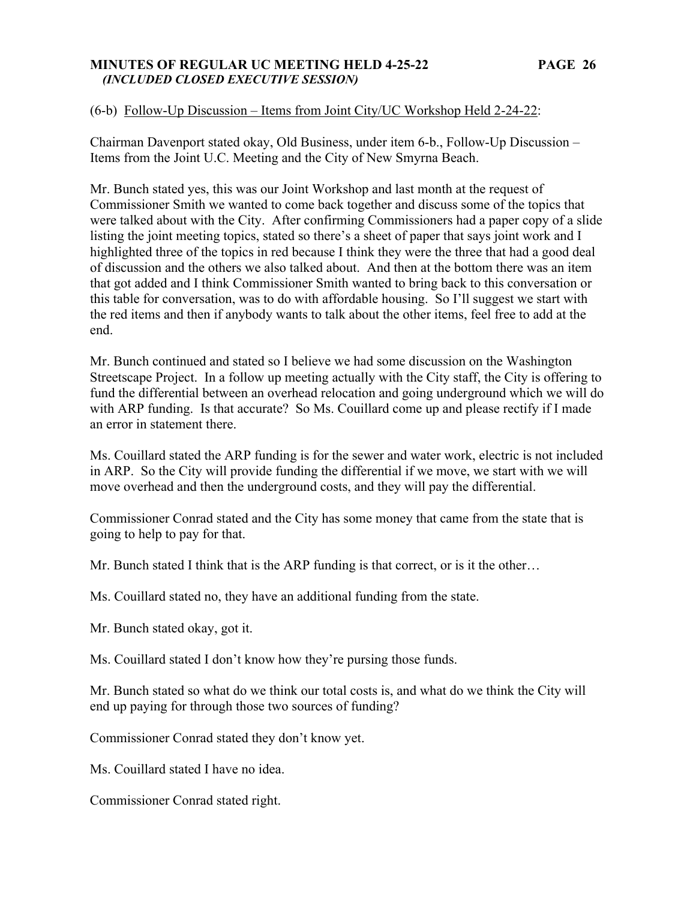### **MINUTES OF REGULAR UC MEETING HELD 4-25-22 PAGE 26**   *(INCLUDED CLOSED EXECUTIVE SESSION)*

# (6-b) Follow-Up Discussion – Items from Joint City/UC Workshop Held 2-24-22:

Chairman Davenport stated okay, Old Business, under item 6-b., Follow-Up Discussion – Items from the Joint U.C. Meeting and the City of New Smyrna Beach.

Mr. Bunch stated yes, this was our Joint Workshop and last month at the request of Commissioner Smith we wanted to come back together and discuss some of the topics that were talked about with the City. After confirming Commissioners had a paper copy of a slide listing the joint meeting topics, stated so there's a sheet of paper that says joint work and I highlighted three of the topics in red because I think they were the three that had a good deal of discussion and the others we also talked about. And then at the bottom there was an item that got added and I think Commissioner Smith wanted to bring back to this conversation or this table for conversation, was to do with affordable housing. So I'll suggest we start with the red items and then if anybody wants to talk about the other items, feel free to add at the end.

Mr. Bunch continued and stated so I believe we had some discussion on the Washington Streetscape Project. In a follow up meeting actually with the City staff, the City is offering to fund the differential between an overhead relocation and going underground which we will do with ARP funding. Is that accurate? So Ms. Couillard come up and please rectify if I made an error in statement there.

Ms. Couillard stated the ARP funding is for the sewer and water work, electric is not included in ARP. So the City will provide funding the differential if we move, we start with we will move overhead and then the underground costs, and they will pay the differential.

Commissioner Conrad stated and the City has some money that came from the state that is going to help to pay for that.

Mr. Bunch stated I think that is the ARP funding is that correct, or is it the other…

Ms. Couillard stated no, they have an additional funding from the state.

Mr. Bunch stated okay, got it.

Ms. Couillard stated I don't know how they're pursing those funds.

Mr. Bunch stated so what do we think our total costs is, and what do we think the City will end up paying for through those two sources of funding?

Commissioner Conrad stated they don't know yet.

Ms. Couillard stated I have no idea.

Commissioner Conrad stated right.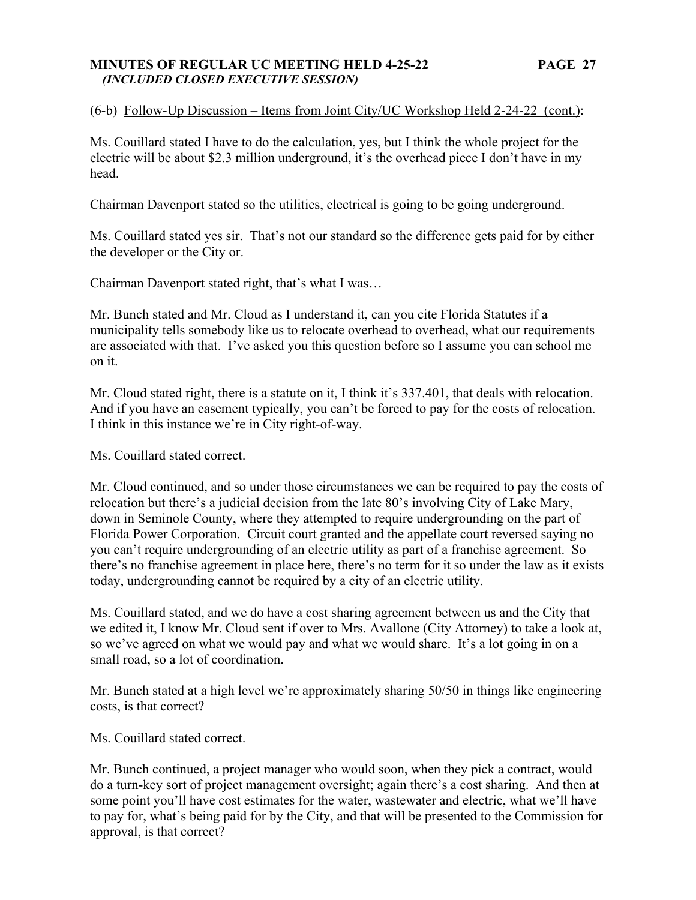#### **MINUTES OF REGULAR UC MEETING HELD 4-25-22 PAGE 27**   *(INCLUDED CLOSED EXECUTIVE SESSION)*

# (6-b) Follow-Up Discussion – Items from Joint City/UC Workshop Held 2-24-22 (cont.):

Ms. Couillard stated I have to do the calculation, yes, but I think the whole project for the electric will be about \$2.3 million underground, it's the overhead piece I don't have in my head.

Chairman Davenport stated so the utilities, electrical is going to be going underground.

Ms. Couillard stated yes sir. That's not our standard so the difference gets paid for by either the developer or the City or.

Chairman Davenport stated right, that's what I was…

Mr. Bunch stated and Mr. Cloud as I understand it, can you cite Florida Statutes if a municipality tells somebody like us to relocate overhead to overhead, what our requirements are associated with that. I've asked you this question before so I assume you can school me on it.

Mr. Cloud stated right, there is a statute on it, I think it's 337.401, that deals with relocation. And if you have an easement typically, you can't be forced to pay for the costs of relocation. I think in this instance we're in City right-of-way.

Ms. Couillard stated correct.

Mr. Cloud continued, and so under those circumstances we can be required to pay the costs of relocation but there's a judicial decision from the late 80's involving City of Lake Mary, down in Seminole County, where they attempted to require undergrounding on the part of Florida Power Corporation. Circuit court granted and the appellate court reversed saying no you can't require undergrounding of an electric utility as part of a franchise agreement. So there's no franchise agreement in place here, there's no term for it so under the law as it exists today, undergrounding cannot be required by a city of an electric utility.

Ms. Couillard stated, and we do have a cost sharing agreement between us and the City that we edited it, I know Mr. Cloud sent if over to Mrs. Avallone (City Attorney) to take a look at, so we've agreed on what we would pay and what we would share. It's a lot going in on a small road, so a lot of coordination.

Mr. Bunch stated at a high level we're approximately sharing 50/50 in things like engineering costs, is that correct?

Ms. Couillard stated correct.

Mr. Bunch continued, a project manager who would soon, when they pick a contract, would do a turn-key sort of project management oversight; again there's a cost sharing. And then at some point you'll have cost estimates for the water, wastewater and electric, what we'll have to pay for, what's being paid for by the City, and that will be presented to the Commission for approval, is that correct?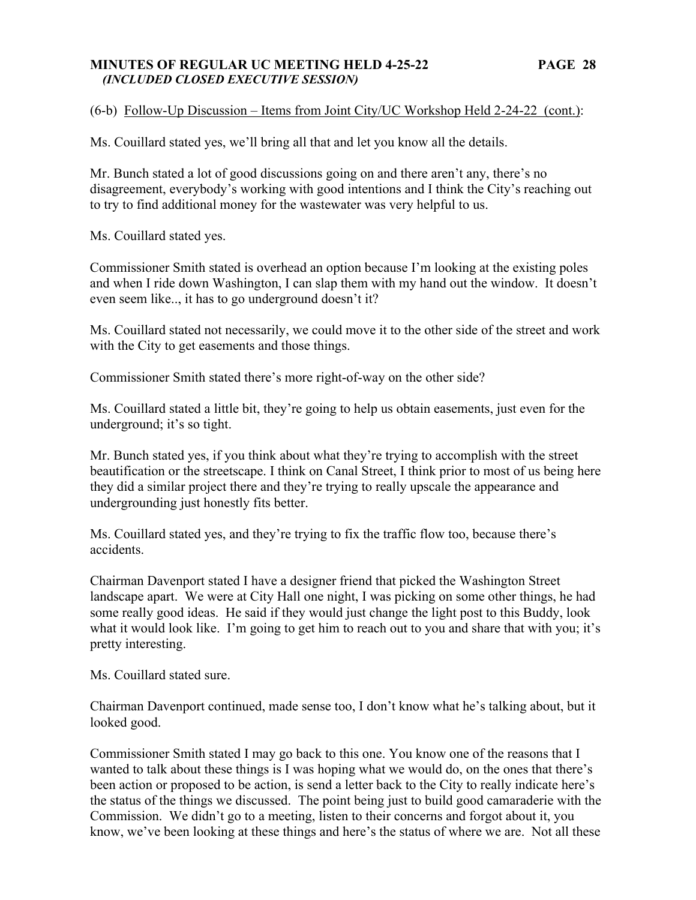### **MINUTES OF REGULAR UC MEETING HELD 4-25-22 PAGE 28**   *(INCLUDED CLOSED EXECUTIVE SESSION)*

(6-b) Follow-Up Discussion – Items from Joint City/UC Workshop Held 2-24-22 (cont.):

Ms. Couillard stated yes, we'll bring all that and let you know all the details.

Mr. Bunch stated a lot of good discussions going on and there aren't any, there's no disagreement, everybody's working with good intentions and I think the City's reaching out to try to find additional money for the wastewater was very helpful to us.

Ms. Couillard stated yes.

Commissioner Smith stated is overhead an option because I'm looking at the existing poles and when I ride down Washington, I can slap them with my hand out the window. It doesn't even seem like.., it has to go underground doesn't it?

Ms. Couillard stated not necessarily, we could move it to the other side of the street and work with the City to get easements and those things.

Commissioner Smith stated there's more right-of-way on the other side?

Ms. Couillard stated a little bit, they're going to help us obtain easements, just even for the underground; it's so tight.

Mr. Bunch stated yes, if you think about what they're trying to accomplish with the street beautification or the streetscape. I think on Canal Street, I think prior to most of us being here they did a similar project there and they're trying to really upscale the appearance and undergrounding just honestly fits better.

Ms. Couillard stated yes, and they're trying to fix the traffic flow too, because there's accidents.

Chairman Davenport stated I have a designer friend that picked the Washington Street landscape apart. We were at City Hall one night, I was picking on some other things, he had some really good ideas. He said if they would just change the light post to this Buddy, look what it would look like. I'm going to get him to reach out to you and share that with you; it's pretty interesting.

Ms. Couillard stated sure.

Chairman Davenport continued, made sense too, I don't know what he's talking about, but it looked good.

Commissioner Smith stated I may go back to this one. You know one of the reasons that I wanted to talk about these things is I was hoping what we would do, on the ones that there's been action or proposed to be action, is send a letter back to the City to really indicate here's the status of the things we discussed. The point being just to build good camaraderie with the Commission. We didn't go to a meeting, listen to their concerns and forgot about it, you know, we've been looking at these things and here's the status of where we are. Not all these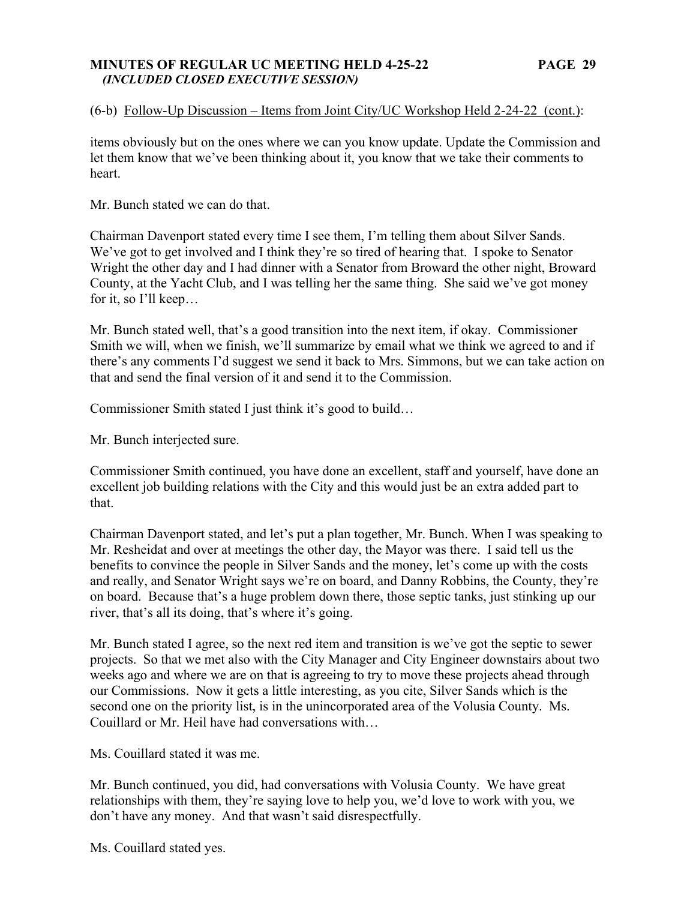### **MINUTES OF REGULAR UC MEETING HELD 4-25-22 PAGE 29**   *(INCLUDED CLOSED EXECUTIVE SESSION)*

### (6-b) Follow-Up Discussion – Items from Joint City/UC Workshop Held 2-24-22 (cont.):

items obviously but on the ones where we can you know update. Update the Commission and let them know that we've been thinking about it, you know that we take their comments to heart.

Mr. Bunch stated we can do that.

Chairman Davenport stated every time I see them, I'm telling them about Silver Sands. We've got to get involved and I think they're so tired of hearing that. I spoke to Senator Wright the other day and I had dinner with a Senator from Broward the other night, Broward County, at the Yacht Club, and I was telling her the same thing. She said we've got money for it, so I'll keep…

Mr. Bunch stated well, that's a good transition into the next item, if okay. Commissioner Smith we will, when we finish, we'll summarize by email what we think we agreed to and if there's any comments I'd suggest we send it back to Mrs. Simmons, but we can take action on that and send the final version of it and send it to the Commission.

Commissioner Smith stated I just think it's good to build…

Mr. Bunch interjected sure.

Commissioner Smith continued, you have done an excellent, staff and yourself, have done an excellent job building relations with the City and this would just be an extra added part to that.

Chairman Davenport stated, and let's put a plan together, Mr. Bunch. When I was speaking to Mr. Resheidat and over at meetings the other day, the Mayor was there. I said tell us the benefits to convince the people in Silver Sands and the money, let's come up with the costs and really, and Senator Wright says we're on board, and Danny Robbins, the County, they're on board. Because that's a huge problem down there, those septic tanks, just stinking up our river, that's all its doing, that's where it's going.

Mr. Bunch stated I agree, so the next red item and transition is we've got the septic to sewer projects. So that we met also with the City Manager and City Engineer downstairs about two weeks ago and where we are on that is agreeing to try to move these projects ahead through our Commissions. Now it gets a little interesting, as you cite, Silver Sands which is the second one on the priority list, is in the unincorporated area of the Volusia County. Ms. Couillard or Mr. Heil have had conversations with…

Ms. Couillard stated it was me.

Mr. Bunch continued, you did, had conversations with Volusia County. We have great relationships with them, they're saying love to help you, we'd love to work with you, we don't have any money. And that wasn't said disrespectfully.

Ms. Couillard stated yes.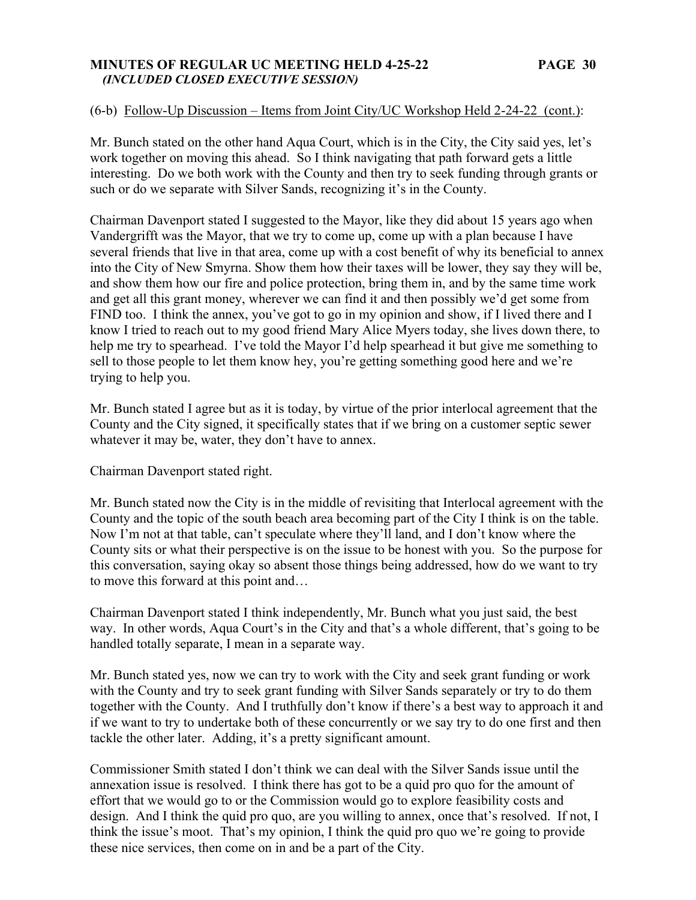### **MINUTES OF REGULAR UC MEETING HELD 4-25-22 PAGE 30**   *(INCLUDED CLOSED EXECUTIVE SESSION)*

# (6-b) Follow-Up Discussion – Items from Joint City/UC Workshop Held 2-24-22 (cont.):

Mr. Bunch stated on the other hand Aqua Court, which is in the City, the City said yes, let's work together on moving this ahead. So I think navigating that path forward gets a little interesting. Do we both work with the County and then try to seek funding through grants or such or do we separate with Silver Sands, recognizing it's in the County.

Chairman Davenport stated I suggested to the Mayor, like they did about 15 years ago when Vandergrifft was the Mayor, that we try to come up, come up with a plan because I have several friends that live in that area, come up with a cost benefit of why its beneficial to annex into the City of New Smyrna. Show them how their taxes will be lower, they say they will be, and show them how our fire and police protection, bring them in, and by the same time work and get all this grant money, wherever we can find it and then possibly we'd get some from FIND too. I think the annex, you've got to go in my opinion and show, if I lived there and I know I tried to reach out to my good friend Mary Alice Myers today, she lives down there, to help me try to spearhead. I've told the Mayor I'd help spearhead it but give me something to sell to those people to let them know hey, you're getting something good here and we're trying to help you.

Mr. Bunch stated I agree but as it is today, by virtue of the prior interlocal agreement that the County and the City signed, it specifically states that if we bring on a customer septic sewer whatever it may be, water, they don't have to annex.

Chairman Davenport stated right.

Mr. Bunch stated now the City is in the middle of revisiting that Interlocal agreement with the County and the topic of the south beach area becoming part of the City I think is on the table. Now I'm not at that table, can't speculate where they'll land, and I don't know where the County sits or what their perspective is on the issue to be honest with you. So the purpose for this conversation, saying okay so absent those things being addressed, how do we want to try to move this forward at this point and…

Chairman Davenport stated I think independently, Mr. Bunch what you just said, the best way. In other words, Aqua Court's in the City and that's a whole different, that's going to be handled totally separate, I mean in a separate way.

Mr. Bunch stated yes, now we can try to work with the City and seek grant funding or work with the County and try to seek grant funding with Silver Sands separately or try to do them together with the County. And I truthfully don't know if there's a best way to approach it and if we want to try to undertake both of these concurrently or we say try to do one first and then tackle the other later. Adding, it's a pretty significant amount.

Commissioner Smith stated I don't think we can deal with the Silver Sands issue until the annexation issue is resolved. I think there has got to be a quid pro quo for the amount of effort that we would go to or the Commission would go to explore feasibility costs and design. And I think the quid pro quo, are you willing to annex, once that's resolved. If not, I think the issue's moot. That's my opinion, I think the quid pro quo we're going to provide these nice services, then come on in and be a part of the City.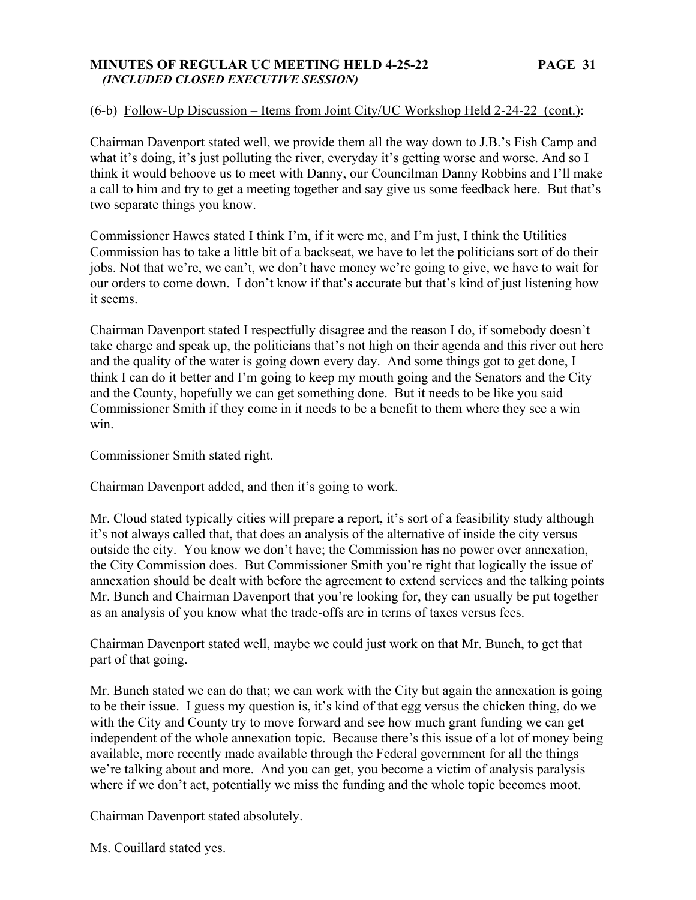### **MINUTES OF REGULAR UC MEETING HELD 4-25-22 PAGE 31**   *(INCLUDED CLOSED EXECUTIVE SESSION)*

# (6-b) Follow-Up Discussion – Items from Joint City/UC Workshop Held 2-24-22 (cont.):

Chairman Davenport stated well, we provide them all the way down to J.B.'s Fish Camp and what it's doing, it's just polluting the river, everyday it's getting worse and worse. And so I think it would behoove us to meet with Danny, our Councilman Danny Robbins and I'll make a call to him and try to get a meeting together and say give us some feedback here. But that's two separate things you know.

Commissioner Hawes stated I think I'm, if it were me, and I'm just, I think the Utilities Commission has to take a little bit of a backseat, we have to let the politicians sort of do their jobs. Not that we're, we can't, we don't have money we're going to give, we have to wait for our orders to come down. I don't know if that's accurate but that's kind of just listening how it seems.

Chairman Davenport stated I respectfully disagree and the reason I do, if somebody doesn't take charge and speak up, the politicians that's not high on their agenda and this river out here and the quality of the water is going down every day. And some things got to get done, I think I can do it better and I'm going to keep my mouth going and the Senators and the City and the County, hopefully we can get something done. But it needs to be like you said Commissioner Smith if they come in it needs to be a benefit to them where they see a win win.

Commissioner Smith stated right.

Chairman Davenport added, and then it's going to work.

Mr. Cloud stated typically cities will prepare a report, it's sort of a feasibility study although it's not always called that, that does an analysis of the alternative of inside the city versus outside the city. You know we don't have; the Commission has no power over annexation, the City Commission does. But Commissioner Smith you're right that logically the issue of annexation should be dealt with before the agreement to extend services and the talking points Mr. Bunch and Chairman Davenport that you're looking for, they can usually be put together as an analysis of you know what the trade-offs are in terms of taxes versus fees.

Chairman Davenport stated well, maybe we could just work on that Mr. Bunch, to get that part of that going.

Mr. Bunch stated we can do that; we can work with the City but again the annexation is going to be their issue. I guess my question is, it's kind of that egg versus the chicken thing, do we with the City and County try to move forward and see how much grant funding we can get independent of the whole annexation topic. Because there's this issue of a lot of money being available, more recently made available through the Federal government for all the things we're talking about and more. And you can get, you become a victim of analysis paralysis where if we don't act, potentially we miss the funding and the whole topic becomes moot.

Chairman Davenport stated absolutely.

Ms. Couillard stated yes.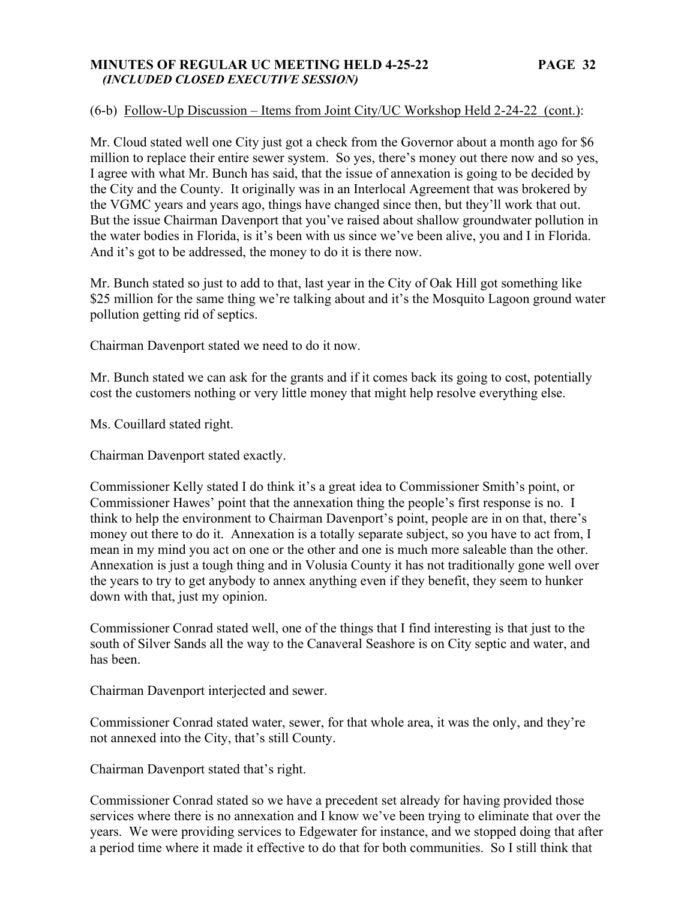### **MINUTES OF REGULAR UC MEETING HELD 4-25-22 PAGE 32**   *(INCLUDED CLOSED EXECUTIVE SESSION)*

### (6-b) Follow-Up Discussion – Items from Joint City/UC Workshop Held 2-24-22 (cont.):

Mr. Cloud stated well one City just got a check from the Governor about a month ago for \$6 million to replace their entire sewer system. So yes, there's money out there now and so yes, I agree with what Mr. Bunch has said, that the issue of annexation is going to be decided by the City and the County. It originally was in an Interlocal Agreement that was brokered by the VGMC years and years ago, things have changed since then, but they'll work that out. But the issue Chairman Davenport that you've raised about shallow groundwater pollution in the water bodies in Florida, is it's been with us since we've been alive, you and I in Florida. And it's got to be addressed, the money to do it is there now.

Mr. Bunch stated so just to add to that, last year in the City of Oak Hill got something like \$25 million for the same thing we're talking about and it's the Mosquito Lagoon ground water pollution getting rid of septics.

Chairman Davenport stated we need to do it now.

Mr. Bunch stated we can ask for the grants and if it comes back its going to cost, potentially cost the customers nothing or very little money that might help resolve everything else.

Ms. Couillard stated right.

Chairman Davenport stated exactly.

Commissioner Kelly stated I do think it's a great idea to Commissioner Smith's point, or Commissioner Hawes' point that the annexation thing the people's first response is no. I think to help the environment to Chairman Davenport's point, people are in on that, there's money out there to do it. Annexation is a totally separate subject, so you have to act from, I mean in my mind you act on one or the other and one is much more saleable than the other. Annexation is just a tough thing and in Volusia County it has not traditionally gone well over the years to try to get anybody to annex anything even if they benefit, they seem to hunker down with that, just my opinion.

Commissioner Conrad stated well, one of the things that I find interesting is that just to the south of Silver Sands all the way to the Canaveral Seashore is on City septic and water, and has been.

Chairman Davenport interjected and sewer.

Commissioner Conrad stated water, sewer, for that whole area, it was the only, and they're not annexed into the City, that's still County.

Chairman Davenport stated that's right.

Commissioner Conrad stated so we have a precedent set already for having provided those services where there is no annexation and I know we've been trying to eliminate that over the years. We were providing services to Edgewater for instance, and we stopped doing that after a period time where it made it effective to do that for both communities. So I still think that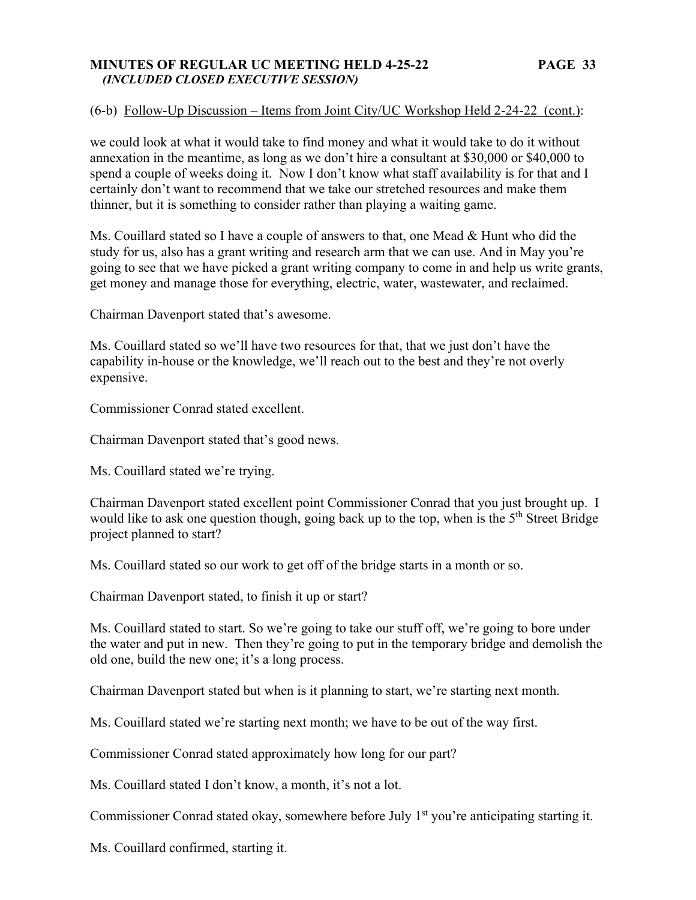### **MINUTES OF REGULAR UC MEETING HELD 4-25-22 PAGE 33**   *(INCLUDED CLOSED EXECUTIVE SESSION)*

### (6-b) Follow-Up Discussion – Items from Joint City/UC Workshop Held 2-24-22 (cont.):

we could look at what it would take to find money and what it would take to do it without annexation in the meantime, as long as we don't hire a consultant at \$30,000 or \$40,000 to spend a couple of weeks doing it. Now I don't know what staff availability is for that and I certainly don't want to recommend that we take our stretched resources and make them thinner, but it is something to consider rather than playing a waiting game.

Ms. Couillard stated so I have a couple of answers to that, one Mead & Hunt who did the study for us, also has a grant writing and research arm that we can use. And in May you're going to see that we have picked a grant writing company to come in and help us write grants, get money and manage those for everything, electric, water, wastewater, and reclaimed.

Chairman Davenport stated that's awesome.

Ms. Couillard stated so we'll have two resources for that, that we just don't have the capability in-house or the knowledge, we'll reach out to the best and they're not overly expensive.

Commissioner Conrad stated excellent.

Chairman Davenport stated that's good news.

Ms. Couillard stated we're trying.

Chairman Davenport stated excellent point Commissioner Conrad that you just brought up. I would like to ask one question though, going back up to the top, when is the 5<sup>th</sup> Street Bridge project planned to start?

Ms. Couillard stated so our work to get off of the bridge starts in a month or so.

Chairman Davenport stated, to finish it up or start?

Ms. Couillard stated to start. So we're going to take our stuff off, we're going to bore under the water and put in new. Then they're going to put in the temporary bridge and demolish the old one, build the new one; it's a long process.

Chairman Davenport stated but when is it planning to start, we're starting next month.

Ms. Couillard stated we're starting next month; we have to be out of the way first.

Commissioner Conrad stated approximately how long for our part?

Ms. Couillard stated I don't know, a month, it's not a lot.

Commissioner Conrad stated okay, somewhere before July 1<sup>st</sup> you're anticipating starting it.

Ms. Couillard confirmed, starting it.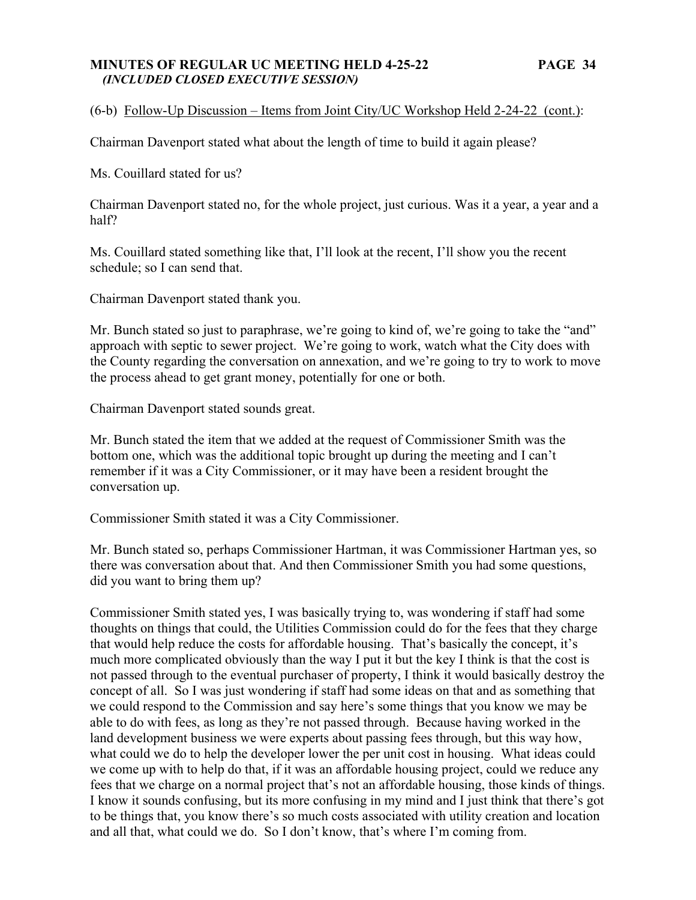### **MINUTES OF REGULAR UC MEETING HELD 4-25-22 PAGE 34**   *(INCLUDED CLOSED EXECUTIVE SESSION)*

# (6-b) Follow-Up Discussion – Items from Joint City/UC Workshop Held 2-24-22 (cont.):

Chairman Davenport stated what about the length of time to build it again please?

Ms. Couillard stated for us?

Chairman Davenport stated no, for the whole project, just curious. Was it a year, a year and a half?

Ms. Couillard stated something like that, I'll look at the recent, I'll show you the recent schedule; so I can send that.

Chairman Davenport stated thank you.

Mr. Bunch stated so just to paraphrase, we're going to kind of, we're going to take the "and" approach with septic to sewer project. We're going to work, watch what the City does with the County regarding the conversation on annexation, and we're going to try to work to move the process ahead to get grant money, potentially for one or both.

Chairman Davenport stated sounds great.

Mr. Bunch stated the item that we added at the request of Commissioner Smith was the bottom one, which was the additional topic brought up during the meeting and I can't remember if it was a City Commissioner, or it may have been a resident brought the conversation up.

Commissioner Smith stated it was a City Commissioner.

Mr. Bunch stated so, perhaps Commissioner Hartman, it was Commissioner Hartman yes, so there was conversation about that. And then Commissioner Smith you had some questions, did you want to bring them up?

Commissioner Smith stated yes, I was basically trying to, was wondering if staff had some thoughts on things that could, the Utilities Commission could do for the fees that they charge that would help reduce the costs for affordable housing. That's basically the concept, it's much more complicated obviously than the way I put it but the key I think is that the cost is not passed through to the eventual purchaser of property, I think it would basically destroy the concept of all. So I was just wondering if staff had some ideas on that and as something that we could respond to the Commission and say here's some things that you know we may be able to do with fees, as long as they're not passed through. Because having worked in the land development business we were experts about passing fees through, but this way how, what could we do to help the developer lower the per unit cost in housing. What ideas could we come up with to help do that, if it was an affordable housing project, could we reduce any fees that we charge on a normal project that's not an affordable housing, those kinds of things. I know it sounds confusing, but its more confusing in my mind and I just think that there's got to be things that, you know there's so much costs associated with utility creation and location and all that, what could we do. So I don't know, that's where I'm coming from.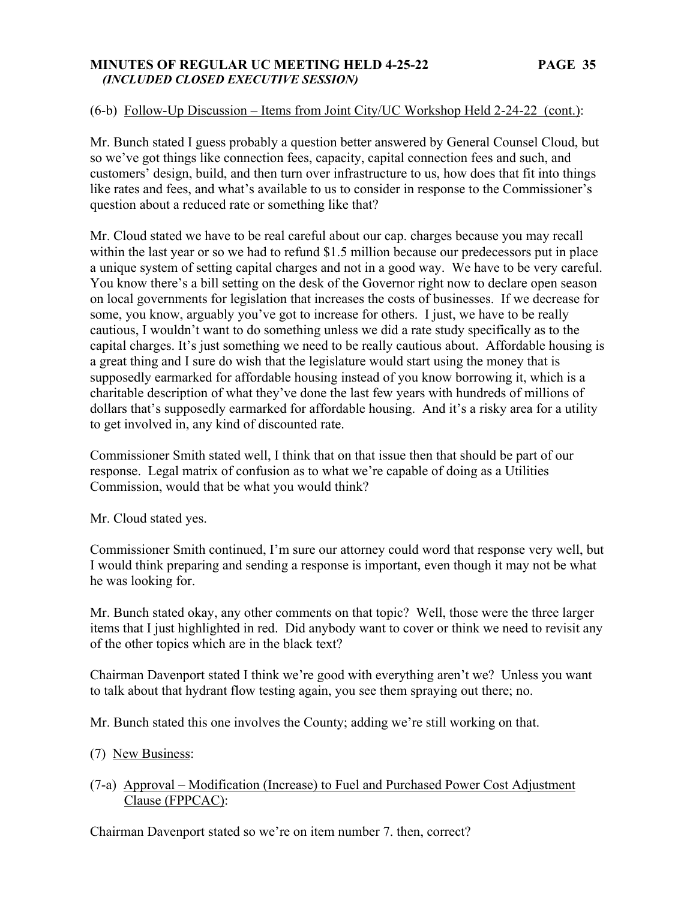### **MINUTES OF REGULAR UC MEETING HELD 4-25-22 PAGE 35**   *(INCLUDED CLOSED EXECUTIVE SESSION)*

# (6-b) Follow-Up Discussion – Items from Joint City/UC Workshop Held 2-24-22 (cont.):

Mr. Bunch stated I guess probably a question better answered by General Counsel Cloud, but so we've got things like connection fees, capacity, capital connection fees and such, and customers' design, build, and then turn over infrastructure to us, how does that fit into things like rates and fees, and what's available to us to consider in response to the Commissioner's question about a reduced rate or something like that?

Mr. Cloud stated we have to be real careful about our cap. charges because you may recall within the last year or so we had to refund \$1.5 million because our predecessors put in place a unique system of setting capital charges and not in a good way. We have to be very careful. You know there's a bill setting on the desk of the Governor right now to declare open season on local governments for legislation that increases the costs of businesses. If we decrease for some, you know, arguably you've got to increase for others. I just, we have to be really cautious, I wouldn't want to do something unless we did a rate study specifically as to the capital charges. It's just something we need to be really cautious about. Affordable housing is a great thing and I sure do wish that the legislature would start using the money that is supposedly earmarked for affordable housing instead of you know borrowing it, which is a charitable description of what they've done the last few years with hundreds of millions of dollars that's supposedly earmarked for affordable housing. And it's a risky area for a utility to get involved in, any kind of discounted rate.

Commissioner Smith stated well, I think that on that issue then that should be part of our response. Legal matrix of confusion as to what we're capable of doing as a Utilities Commission, would that be what you would think?

Mr. Cloud stated yes.

Commissioner Smith continued, I'm sure our attorney could word that response very well, but I would think preparing and sending a response is important, even though it may not be what he was looking for.

Mr. Bunch stated okay, any other comments on that topic? Well, those were the three larger items that I just highlighted in red. Did anybody want to cover or think we need to revisit any of the other topics which are in the black text?

Chairman Davenport stated I think we're good with everything aren't we? Unless you want to talk about that hydrant flow testing again, you see them spraying out there; no.

Mr. Bunch stated this one involves the County; adding we're still working on that.

- (7) New Business:
- (7-a) Approval Modification (Increase) to Fuel and Purchased Power Cost Adjustment Clause (FPPCAC):

Chairman Davenport stated so we're on item number 7. then, correct?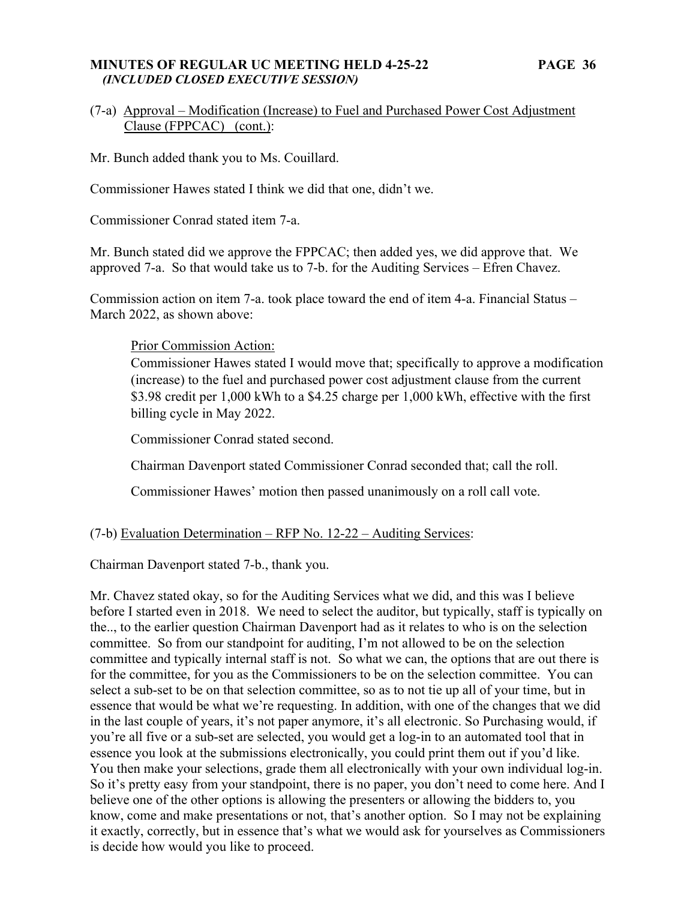### **MINUTES OF REGULAR UC MEETING HELD 4-25-22 PAGE 36**   *(INCLUDED CLOSED EXECUTIVE SESSION)*

# (7-a) Approval – Modification (Increase) to Fuel and Purchased Power Cost Adjustment Clause (FPPCAC) (cont.):

Mr. Bunch added thank you to Ms. Couillard.

Commissioner Hawes stated I think we did that one, didn't we.

Commissioner Conrad stated item 7-a.

Mr. Bunch stated did we approve the FPPCAC; then added yes, we did approve that. We approved 7-a. So that would take us to 7-b. for the Auditing Services – Efren Chavez.

Commission action on item 7-a. took place toward the end of item 4-a. Financial Status – March 2022, as shown above:

### Prior Commission Action:

Commissioner Hawes stated I would move that; specifically to approve a modification (increase) to the fuel and purchased power cost adjustment clause from the current \$3.98 credit per 1,000 kWh to a \$4.25 charge per 1,000 kWh, effective with the first billing cycle in May 2022.

Commissioner Conrad stated second.

Chairman Davenport stated Commissioner Conrad seconded that; call the roll.

Commissioner Hawes' motion then passed unanimously on a roll call vote.

# (7-b) Evaluation Determination – RFP No. 12-22 – Auditing Services:

Chairman Davenport stated 7-b., thank you.

Mr. Chavez stated okay, so for the Auditing Services what we did, and this was I believe before I started even in 2018. We need to select the auditor, but typically, staff is typically on the.., to the earlier question Chairman Davenport had as it relates to who is on the selection committee. So from our standpoint for auditing, I'm not allowed to be on the selection committee and typically internal staff is not. So what we can, the options that are out there is for the committee, for you as the Commissioners to be on the selection committee. You can select a sub-set to be on that selection committee, so as to not tie up all of your time, but in essence that would be what we're requesting. In addition, with one of the changes that we did in the last couple of years, it's not paper anymore, it's all electronic. So Purchasing would, if you're all five or a sub-set are selected, you would get a log-in to an automated tool that in essence you look at the submissions electronically, you could print them out if you'd like. You then make your selections, grade them all electronically with your own individual log-in. So it's pretty easy from your standpoint, there is no paper, you don't need to come here. And I believe one of the other options is allowing the presenters or allowing the bidders to, you know, come and make presentations or not, that's another option. So I may not be explaining it exactly, correctly, but in essence that's what we would ask for yourselves as Commissioners is decide how would you like to proceed.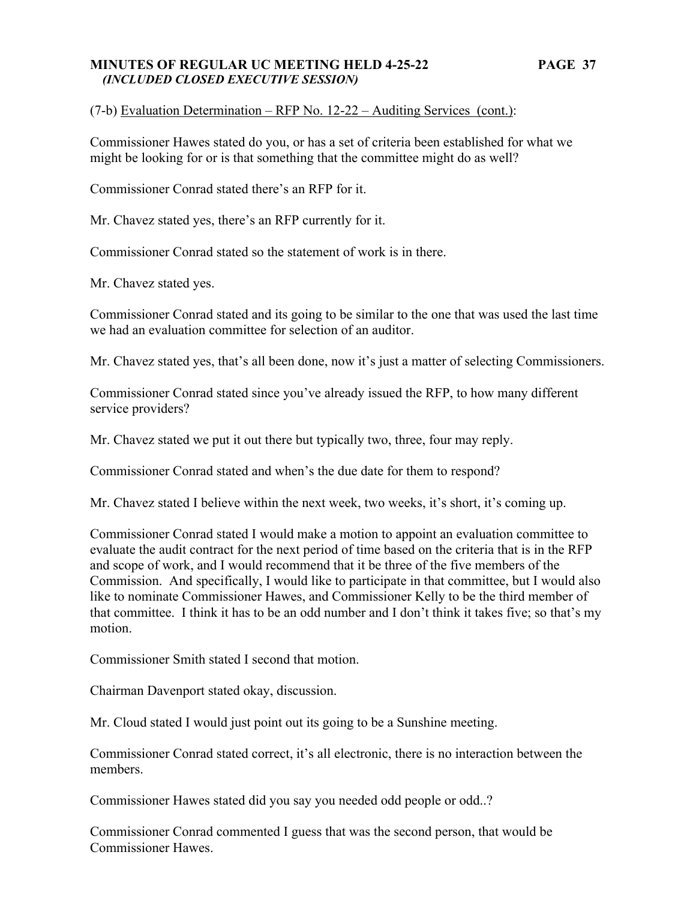### **MINUTES OF REGULAR UC MEETING HELD 4-25-22 PAGE 37**   *(INCLUDED CLOSED EXECUTIVE SESSION)*

(7-b) Evaluation Determination – RFP No. 12-22 – Auditing Services (cont.):

Commissioner Hawes stated do you, or has a set of criteria been established for what we might be looking for or is that something that the committee might do as well?

Commissioner Conrad stated there's an RFP for it.

Mr. Chavez stated yes, there's an RFP currently for it.

Commissioner Conrad stated so the statement of work is in there.

Mr. Chavez stated yes.

Commissioner Conrad stated and its going to be similar to the one that was used the last time we had an evaluation committee for selection of an auditor.

Mr. Chavez stated yes, that's all been done, now it's just a matter of selecting Commissioners.

Commissioner Conrad stated since you've already issued the RFP, to how many different service providers?

Mr. Chavez stated we put it out there but typically two, three, four may reply.

Commissioner Conrad stated and when's the due date for them to respond?

Mr. Chavez stated I believe within the next week, two weeks, it's short, it's coming up.

Commissioner Conrad stated I would make a motion to appoint an evaluation committee to evaluate the audit contract for the next period of time based on the criteria that is in the RFP and scope of work, and I would recommend that it be three of the five members of the Commission. And specifically, I would like to participate in that committee, but I would also like to nominate Commissioner Hawes, and Commissioner Kelly to be the third member of that committee. I think it has to be an odd number and I don't think it takes five; so that's my motion.

Commissioner Smith stated I second that motion.

Chairman Davenport stated okay, discussion.

Mr. Cloud stated I would just point out its going to be a Sunshine meeting.

Commissioner Conrad stated correct, it's all electronic, there is no interaction between the members.

Commissioner Hawes stated did you say you needed odd people or odd..?

Commissioner Conrad commented I guess that was the second person, that would be Commissioner Hawes.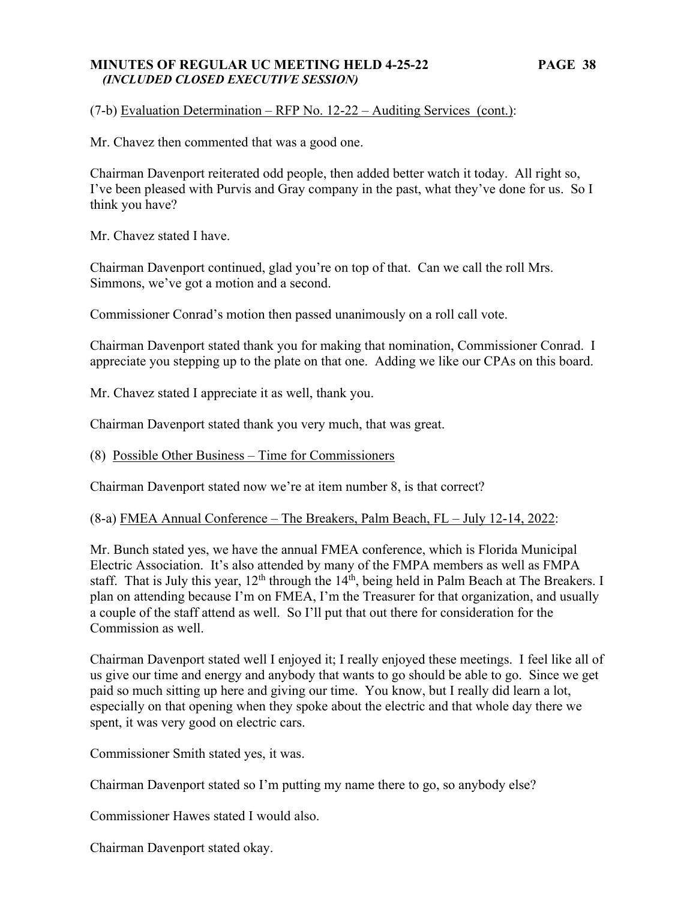### **MINUTES OF REGULAR UC MEETING HELD 4-25-22 PAGE 38**   *(INCLUDED CLOSED EXECUTIVE SESSION)*

(7-b) Evaluation Determination – RFP No. 12-22 – Auditing Services (cont.):

Mr. Chavez then commented that was a good one.

Chairman Davenport reiterated odd people, then added better watch it today. All right so, I've been pleased with Purvis and Gray company in the past, what they've done for us. So I think you have?

Mr. Chavez stated I have.

Chairman Davenport continued, glad you're on top of that. Can we call the roll Mrs. Simmons, we've got a motion and a second.

Commissioner Conrad's motion then passed unanimously on a roll call vote.

Chairman Davenport stated thank you for making that nomination, Commissioner Conrad. I appreciate you stepping up to the plate on that one. Adding we like our CPAs on this board.

Mr. Chavez stated I appreciate it as well, thank you.

Chairman Davenport stated thank you very much, that was great.

(8) Possible Other Business – Time for Commissioners

Chairman Davenport stated now we're at item number 8, is that correct?

(8-a) FMEA Annual Conference – The Breakers, Palm Beach, FL – July 12-14, 2022:

Mr. Bunch stated yes, we have the annual FMEA conference, which is Florida Municipal Electric Association. It's also attended by many of the FMPA members as well as FMPA staff. That is July this year,  $12<sup>th</sup>$  through the  $14<sup>th</sup>$ , being held in Palm Beach at The Breakers. I plan on attending because I'm on FMEA, I'm the Treasurer for that organization, and usually a couple of the staff attend as well. So I'll put that out there for consideration for the Commission as well.

Chairman Davenport stated well I enjoyed it; I really enjoyed these meetings. I feel like all of us give our time and energy and anybody that wants to go should be able to go. Since we get paid so much sitting up here and giving our time. You know, but I really did learn a lot, especially on that opening when they spoke about the electric and that whole day there we spent, it was very good on electric cars.

Commissioner Smith stated yes, it was.

Chairman Davenport stated so I'm putting my name there to go, so anybody else?

Commissioner Hawes stated I would also.

Chairman Davenport stated okay.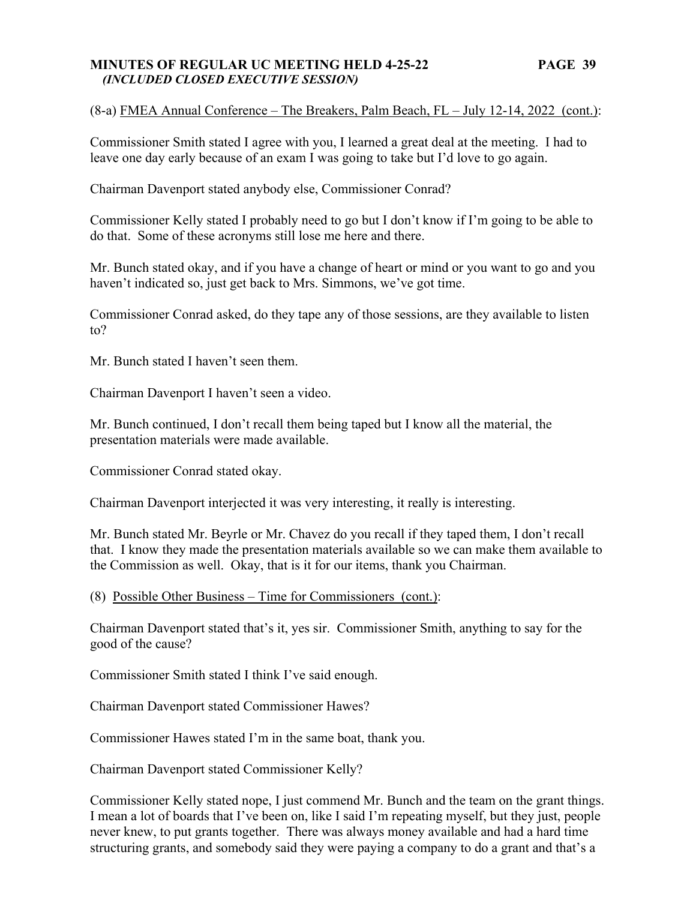### **MINUTES OF REGULAR UC MEETING HELD 4-25-22 PAGE 39**   *(INCLUDED CLOSED EXECUTIVE SESSION)*

# (8-a) FMEA Annual Conference – The Breakers, Palm Beach, FL – July 12-14, 2022 (cont.):

Commissioner Smith stated I agree with you, I learned a great deal at the meeting. I had to leave one day early because of an exam I was going to take but I'd love to go again.

Chairman Davenport stated anybody else, Commissioner Conrad?

Commissioner Kelly stated I probably need to go but I don't know if I'm going to be able to do that. Some of these acronyms still lose me here and there.

Mr. Bunch stated okay, and if you have a change of heart or mind or you want to go and you haven't indicated so, just get back to Mrs. Simmons, we've got time.

Commissioner Conrad asked, do they tape any of those sessions, are they available to listen to?

Mr. Bunch stated I haven't seen them.

Chairman Davenport I haven't seen a video.

Mr. Bunch continued, I don't recall them being taped but I know all the material, the presentation materials were made available.

Commissioner Conrad stated okay.

Chairman Davenport interjected it was very interesting, it really is interesting.

Mr. Bunch stated Mr. Beyrle or Mr. Chavez do you recall if they taped them, I don't recall that. I know they made the presentation materials available so we can make them available to the Commission as well. Okay, that is it for our items, thank you Chairman.

(8) Possible Other Business – Time for Commissioners (cont.):

Chairman Davenport stated that's it, yes sir. Commissioner Smith, anything to say for the good of the cause?

Commissioner Smith stated I think I've said enough.

Chairman Davenport stated Commissioner Hawes?

Commissioner Hawes stated I'm in the same boat, thank you.

Chairman Davenport stated Commissioner Kelly?

Commissioner Kelly stated nope, I just commend Mr. Bunch and the team on the grant things. I mean a lot of boards that I've been on, like I said I'm repeating myself, but they just, people never knew, to put grants together. There was always money available and had a hard time structuring grants, and somebody said they were paying a company to do a grant and that's a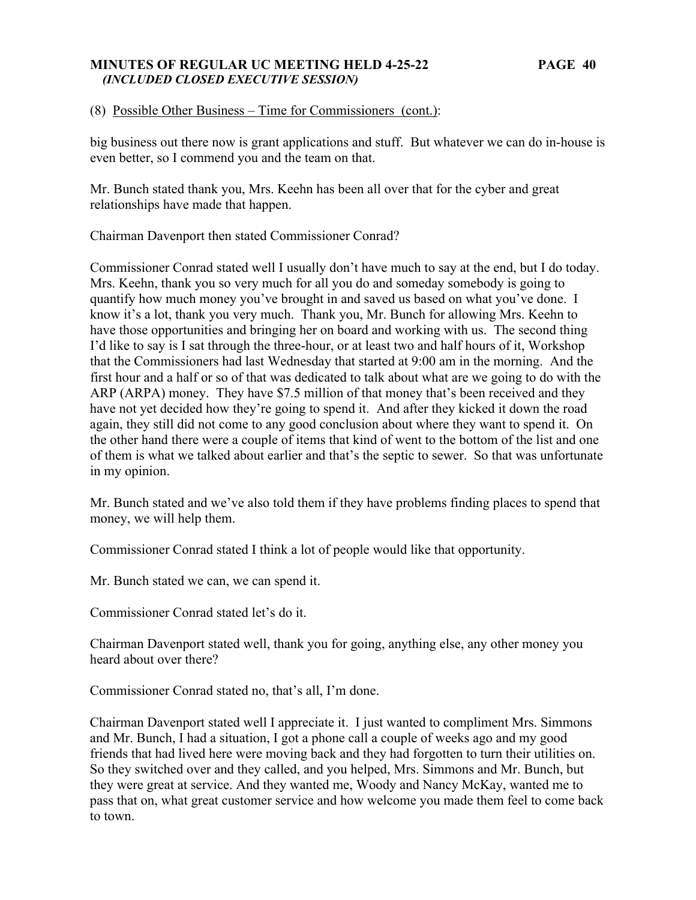### **MINUTES OF REGULAR UC MEETING HELD 4-25-22 PAGE 40**   *(INCLUDED CLOSED EXECUTIVE SESSION)*

(8) Possible Other Business – Time for Commissioners (cont.):

big business out there now is grant applications and stuff. But whatever we can do in-house is even better, so I commend you and the team on that.

Mr. Bunch stated thank you, Mrs. Keehn has been all over that for the cyber and great relationships have made that happen.

Chairman Davenport then stated Commissioner Conrad?

Commissioner Conrad stated well I usually don't have much to say at the end, but I do today. Mrs. Keehn, thank you so very much for all you do and someday somebody is going to quantify how much money you've brought in and saved us based on what you've done. I know it's a lot, thank you very much. Thank you, Mr. Bunch for allowing Mrs. Keehn to have those opportunities and bringing her on board and working with us. The second thing I'd like to say is I sat through the three-hour, or at least two and half hours of it, Workshop that the Commissioners had last Wednesday that started at 9:00 am in the morning. And the first hour and a half or so of that was dedicated to talk about what are we going to do with the ARP (ARPA) money. They have \$7.5 million of that money that's been received and they have not yet decided how they're going to spend it. And after they kicked it down the road again, they still did not come to any good conclusion about where they want to spend it. On the other hand there were a couple of items that kind of went to the bottom of the list and one of them is what we talked about earlier and that's the septic to sewer. So that was unfortunate in my opinion.

Mr. Bunch stated and we've also told them if they have problems finding places to spend that money, we will help them.

Commissioner Conrad stated I think a lot of people would like that opportunity.

Mr. Bunch stated we can, we can spend it.

Commissioner Conrad stated let's do it.

Chairman Davenport stated well, thank you for going, anything else, any other money you heard about over there?

Commissioner Conrad stated no, that's all, I'm done.

Chairman Davenport stated well I appreciate it. I just wanted to compliment Mrs. Simmons and Mr. Bunch, I had a situation, I got a phone call a couple of weeks ago and my good friends that had lived here were moving back and they had forgotten to turn their utilities on. So they switched over and they called, and you helped, Mrs. Simmons and Mr. Bunch, but they were great at service. And they wanted me, Woody and Nancy McKay, wanted me to pass that on, what great customer service and how welcome you made them feel to come back to town.